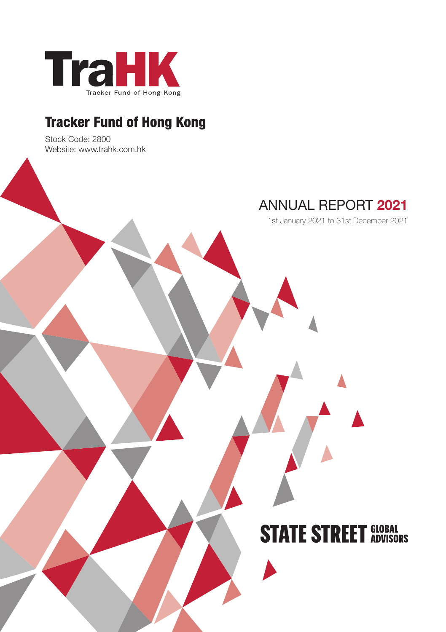

# **Tracker Fund of Hong Kong**

Stock Code: 2800 Website: www.trahk.com.hk

# ANNUAL REPORT 2021

1st January 2021 to 31st December 2021

**STATE STREET SLOBAL**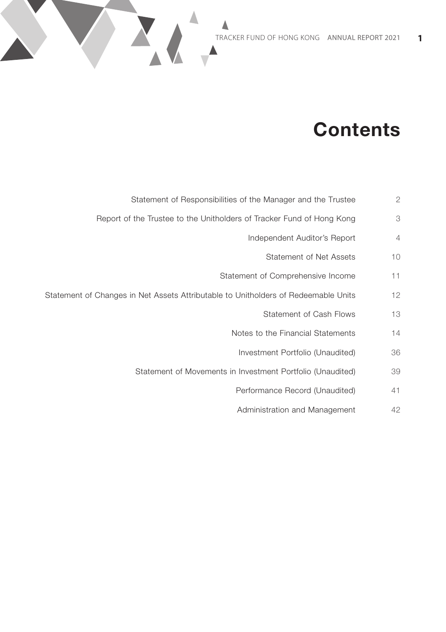TRACKER FUND OF HONG KONG ANNUAL REPORT 2021 **1**

# **Contents**

- Statement of Responsibilities of the Manager and the Trustee 2
- Report of the Trustee to the Unitholders of Tracker Fund of Hong Kong 3
	- Independent Auditor's Report 4
	- Statement of Net Assets 10
	- Statement of Comprehensive Income 11
- Statement of Changes in Net Assets Attributable to Unitholders of Redeemable Units 12

 $\mathbf{X}_t$ 

- Statement of Cash Flows 13
- Notes to the Financial Statements 14
	- Investment Portfolio (Unaudited) 36
- Statement of Movements in Investment Portfolio (Unaudited) 39
	- Performance Record (Unaudited) 41
	- Administration and Management 42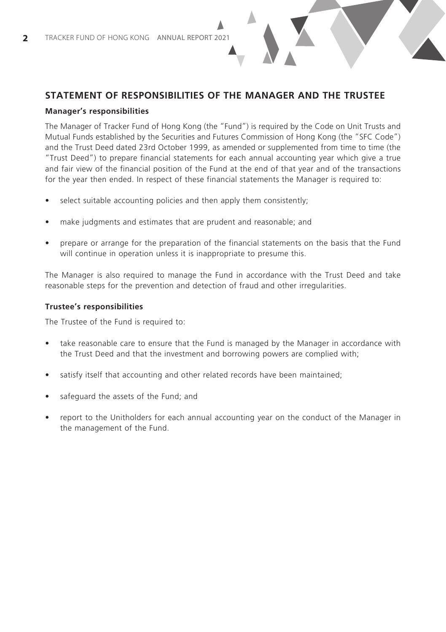# **STATEMENT OF RESPONSIBILITIES OF THE MANAGER AND THE TRUSTEE**

### **Manager's responsibilities**

The Manager of Tracker Fund of Hong Kong (the "Fund") is required by the Code on Unit Trusts and Mutual Funds established by the Securities and Futures Commission of Hong Kong (the "SFC Code") and the Trust Deed dated 23rd October 1999, as amended or supplemented from time to time (the "Trust Deed") to prepare financial statements for each annual accounting year which give a true and fair view of the financial position of the Fund at the end of that year and of the transactions for the year then ended. In respect of these financial statements the Manager is required to:

- select suitable accounting policies and then apply them consistently;
- make judgments and estimates that are prudent and reasonable; and
- prepare or arrange for the preparation of the financial statements on the basis that the Fund will continue in operation unless it is inappropriate to presume this.

The Manager is also required to manage the Fund in accordance with the Trust Deed and take reasonable steps for the prevention and detection of fraud and other irregularities.

### **Trustee's responsibilities**

The Trustee of the Fund is required to:

- take reasonable care to ensure that the Fund is managed by the Manager in accordance with the Trust Deed and that the investment and borrowing powers are complied with;
- satisfy itself that accounting and other related records have been maintained;
- safeguard the assets of the Fund; and
- report to the Unitholders for each annual accounting year on the conduct of the Manager in the management of the Fund.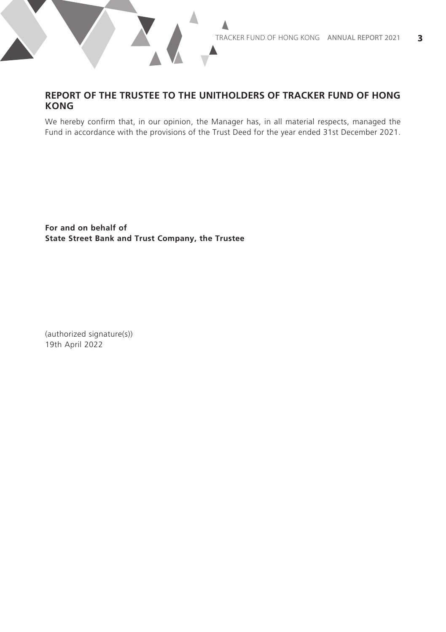

# **REPORT OF THE TRUSTEE TO THE UNITHOLDERS OF TRACKER FUND OF HONG KONG**

We hereby confirm that, in our opinion, the Manager has, in all material respects, managed the Fund in accordance with the provisions of the Trust Deed for the year ended 31st December 2021.

**For and on behalf of State Street Bank and Trust Company, the Trustee**

(authorized signature(s)) 19th April 2022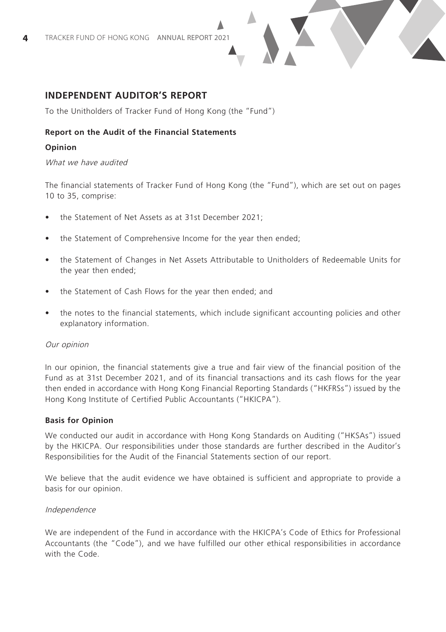To the Unitholders of Tracker Fund of Hong Kong (the "Fund")

### **Report on the Audit of the Financial Statements**

### **Opinion**

### What we have audited

The financial statements of Tracker Fund of Hong Kong (the "Fund"), which are set out on pages 10 to 35, comprise:

- the Statement of Net Assets as at 31st December 2021;
- the Statement of Comprehensive Income for the year then ended;
- the Statement of Changes in Net Assets Attributable to Unitholders of Redeemable Units for the year then ended;
- the Statement of Cash Flows for the year then ended; and
- the notes to the financial statements, which include significant accounting policies and other explanatory information.

### Our opinion

In our opinion, the financial statements give a true and fair view of the financial position of the Fund as at 31st December 2021, and of its financial transactions and its cash flows for the year then ended in accordance with Hong Kong Financial Reporting Standards ("HKFRSs") issued by the Hong Kong Institute of Certified Public Accountants ("HKICPA").

### **Basis for Opinion**

We conducted our audit in accordance with Hong Kong Standards on Auditing ("HKSAs") issued by the HKICPA. Our responsibilities under those standards are further described in the Auditor's Responsibilities for the Audit of the Financial Statements section of our report.

We believe that the audit evidence we have obtained is sufficient and appropriate to provide a basis for our opinion.

### Independence

We are independent of the Fund in accordance with the HKICPA's Code of Ethics for Professional Accountants (the "Code"), and we have fulfilled our other ethical responsibilities in accordance with the Code.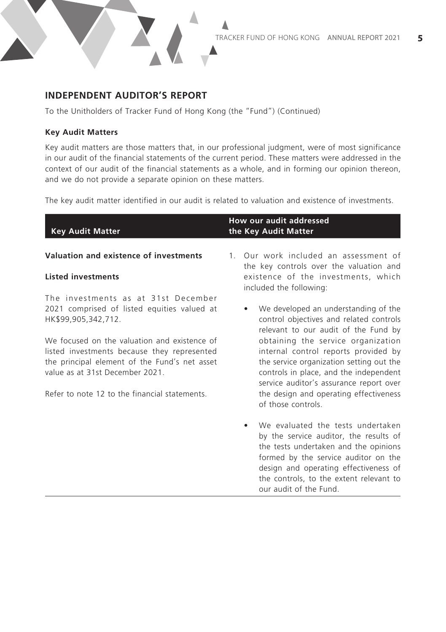TRACKER FUND OF HONG KONG ANNUAL REPORT 2021 **5**

the controls, to the extent relevant to

our audit of the Fund.

# **INDEPENDENT AUDITOR'S REPORT**

To the Unitholders of Tracker Fund of Hong Kong (the "Fund") (Continued)

### **Key Audit Matters**

Key audit matters are those matters that, in our professional judgment, were of most significance in our audit of the financial statements of the current period. These matters were addressed in the context of our audit of the financial statements as a whole, and in forming our opinion thereon, and we do not provide a separate opinion on these matters.

The key audit matter identified in our audit is related to valuation and existence of investments.

| <b>Key Audit Matter</b>                                                                                                                                                         | How our audit addressed<br>the Key Audit Matter                                                                                                                                                             |
|---------------------------------------------------------------------------------------------------------------------------------------------------------------------------------|-------------------------------------------------------------------------------------------------------------------------------------------------------------------------------------------------------------|
| Valuation and existence of investments                                                                                                                                          | Our work included an assessment of<br>$1 \quad$<br>the key controls over the valuation and                                                                                                                  |
| <b>Listed investments</b>                                                                                                                                                       | existence of the investments, which<br>included the following:                                                                                                                                              |
| The investments as at 31st December                                                                                                                                             |                                                                                                                                                                                                             |
| 2021 comprised of listed equities valued at<br>HK\$99,905,342,712.                                                                                                              | We developed an understanding of the<br>٠<br>control objectives and related controls<br>relevant to our audit of the Fund by                                                                                |
| We focused on the valuation and existence of<br>listed investments because they represented<br>the principal element of the Fund's net asset<br>value as at 31st December 2021. | obtaining the service organization<br>internal control reports provided by<br>the service organization setting out the<br>controls in place, and the independent<br>service auditor's assurance report over |
| Refer to note 12 to the financial statements.                                                                                                                                   | the design and operating effectiveness<br>of those controls.                                                                                                                                                |
|                                                                                                                                                                                 | We evaluated the tests undertaken<br>by the service auditor, the results of<br>the tests undertaken and the opinions<br>formed by the service auditor on the<br>design and operating effectiveness of       |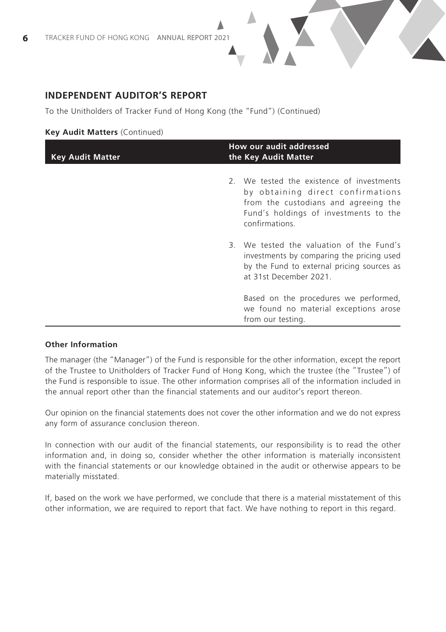

To the Unitholders of Tracker Fund of Hong Kong (the "Fund") (Continued)

### **Key Audit Matters** (Continued)

| <b>Key Audit Matter</b> | How our audit addressed<br>the Key Audit Matter                                                                                                                                   |
|-------------------------|-----------------------------------------------------------------------------------------------------------------------------------------------------------------------------------|
|                         | 2. We tested the existence of investments<br>by obtaining direct confirmations<br>from the custodians and agreeing the<br>Fund's holdings of investments to the<br>confirmations. |
|                         | 3. We tested the valuation of the Fund's<br>investments by comparing the pricing used<br>by the Fund to external pricing sources as<br>at 31st December 2021.                     |
|                         | Based on the procedures we performed,<br>we found no material exceptions arose<br>from our testing.                                                                               |

### **Other Information**

The manager (the "Manager") of the Fund is responsible for the other information, except the report of the Trustee to Unitholders of Tracker Fund of Hong Kong, which the trustee (the "Trustee") of the Fund is responsible to issue. The other information comprises all of the information included in the annual report other than the financial statements and our auditor's report thereon.

Our opinion on the financial statements does not cover the other information and we do not express any form of assurance conclusion thereon.

In connection with our audit of the financial statements, our responsibility is to read the other information and, in doing so, consider whether the other information is materially inconsistent with the financial statements or our knowledge obtained in the audit or otherwise appears to be materially misstated.

If, based on the work we have performed, we conclude that there is a material misstatement of this other information, we are required to report that fact. We have nothing to report in this regard.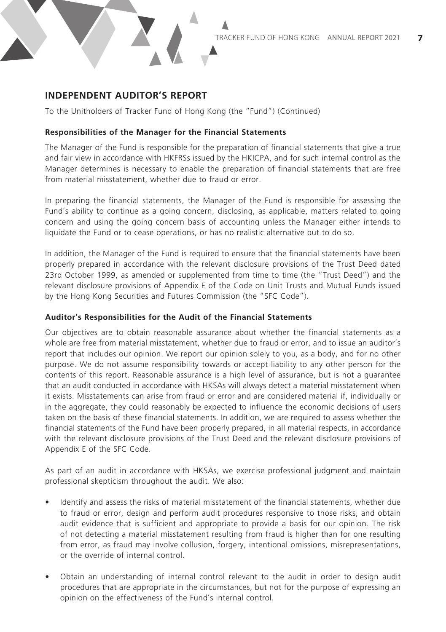To the Unitholders of Tracker Fund of Hong Kong (the "Fund") (Continued)

### **Responsibilities of the Manager for the Financial Statements**

The Manager of the Fund is responsible for the preparation of financial statements that give a true and fair view in accordance with HKFRSs issued by the HKICPA, and for such internal control as the Manager determines is necessary to enable the preparation of financial statements that are free from material misstatement, whether due to fraud or error.

In preparing the financial statements, the Manager of the Fund is responsible for assessing the Fund's ability to continue as a going concern, disclosing, as applicable, matters related to going concern and using the going concern basis of accounting unless the Manager either intends to liquidate the Fund or to cease operations, or has no realistic alternative but to do so.

In addition, the Manager of the Fund is required to ensure that the financial statements have been properly prepared in accordance with the relevant disclosure provisions of the Trust Deed dated 23rd October 1999, as amended or supplemented from time to time (the "Trust Deed") and the relevant disclosure provisions of Appendix E of the Code on Unit Trusts and Mutual Funds issued by the Hong Kong Securities and Futures Commission (the "SFC Code").

### **Auditor's Responsibilities for the Audit of the Financial Statements**

Our objectives are to obtain reasonable assurance about whether the financial statements as a whole are free from material misstatement, whether due to fraud or error, and to issue an auditor's report that includes our opinion. We report our opinion solely to you, as a body, and for no other purpose. We do not assume responsibility towards or accept liability to any other person for the contents of this report. Reasonable assurance is a high level of assurance, but is not a guarantee that an audit conducted in accordance with HKSAs will always detect a material misstatement when it exists. Misstatements can arise from fraud or error and are considered material if, individually or in the aggregate, they could reasonably be expected to influence the economic decisions of users taken on the basis of these financial statements. In addition, we are required to assess whether the financial statements of the Fund have been properly prepared, in all material respects, in accordance with the relevant disclosure provisions of the Trust Deed and the relevant disclosure provisions of Appendix E of the SFC Code.

As part of an audit in accordance with HKSAs, we exercise professional judgment and maintain professional skepticism throughout the audit. We also:

- Identify and assess the risks of material misstatement of the financial statements, whether due to fraud or error, design and perform audit procedures responsive to those risks, and obtain audit evidence that is sufficient and appropriate to provide a basis for our opinion. The risk of not detecting a material misstatement resulting from fraud is higher than for one resulting from error, as fraud may involve collusion, forgery, intentional omissions, misrepresentations, or the override of internal control.
- Obtain an understanding of internal control relevant to the audit in order to design audit procedures that are appropriate in the circumstances, but not for the purpose of expressing an opinion on the effectiveness of the Fund's internal control.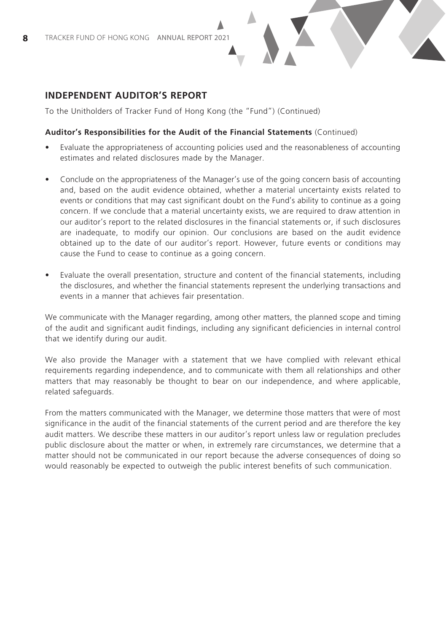To the Unitholders of Tracker Fund of Hong Kong (the "Fund") (Continued)

### **Auditor's Responsibilities for the Audit of the Financial Statements** (Continued)

- Evaluate the appropriateness of accounting policies used and the reasonableness of accounting estimates and related disclosures made by the Manager.
- Conclude on the appropriateness of the Manager's use of the going concern basis of accounting and, based on the audit evidence obtained, whether a material uncertainty exists related to events or conditions that may cast significant doubt on the Fund's ability to continue as a going concern. If we conclude that a material uncertainty exists, we are required to draw attention in our auditor's report to the related disclosures in the financial statements or, if such disclosures are inadequate, to modify our opinion. Our conclusions are based on the audit evidence obtained up to the date of our auditor's report. However, future events or conditions may cause the Fund to cease to continue as a going concern.
- Evaluate the overall presentation, structure and content of the financial statements, including the disclosures, and whether the financial statements represent the underlying transactions and events in a manner that achieves fair presentation.

We communicate with the Manager regarding, among other matters, the planned scope and timing of the audit and significant audit findings, including any significant deficiencies in internal control that we identify during our audit.

We also provide the Manager with a statement that we have complied with relevant ethical requirements regarding independence, and to communicate with them all relationships and other matters that may reasonably be thought to bear on our independence, and where applicable, related safeguards.

From the matters communicated with the Manager, we determine those matters that were of most significance in the audit of the financial statements of the current period and are therefore the key audit matters. We describe these matters in our auditor's report unless law or regulation precludes public disclosure about the matter or when, in extremely rare circumstances, we determine that a matter should not be communicated in our report because the adverse consequences of doing so would reasonably be expected to outweigh the public interest benefits of such communication.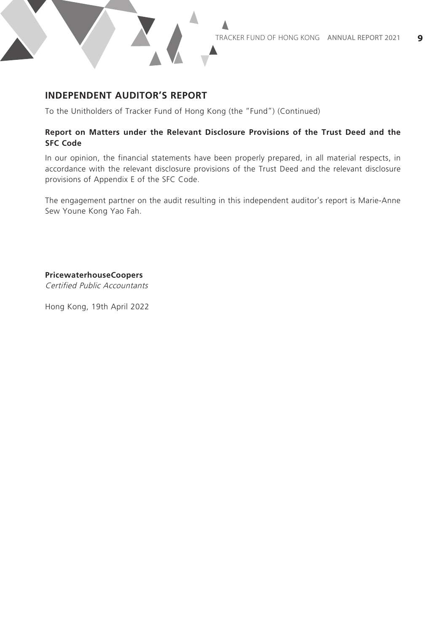

To the Unitholders of Tracker Fund of Hong Kong (the "Fund") (Continued)

## **Report on Matters under the Relevant Disclosure Provisions of the Trust Deed and the SFC Code**

In our opinion, the financial statements have been properly prepared, in all material respects, in accordance with the relevant disclosure provisions of the Trust Deed and the relevant disclosure provisions of Appendix E of the SFC Code.

The engagement partner on the audit resulting in this independent auditor's report is Marie-Anne Sew Youne Kong Yao Fah.

**PricewaterhouseCoopers** Certified Public Accountants

Hong Kong, 19th April 2022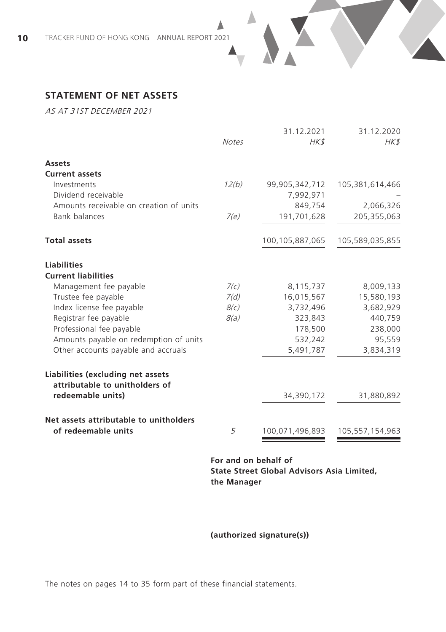# **STATEMENT OF NET ASSETS**

AS AT 31ST DECEMBER 2021

|                                                                     | <b>Notes</b> | 31.12.2021<br>HK\$ | 31.12.2020<br>HK\$ |
|---------------------------------------------------------------------|--------------|--------------------|--------------------|
|                                                                     |              |                    |                    |
| <b>Assets</b>                                                       |              |                    |                    |
| <b>Current assets</b>                                               |              |                    |                    |
| Investments                                                         | 12(b)        | 99,905,342,712     | 105,381,614,466    |
| Dividend receivable                                                 |              | 7,992,971          |                    |
| Amounts receivable on creation of units                             |              | 849,754            | 2,066,326          |
| <b>Bank balances</b>                                                | 7(e)         | 191,701,628        | 205,355,063        |
| <b>Total assets</b>                                                 |              | 100, 105, 887, 065 | 105,589,035,855    |
| <b>Liabilities</b>                                                  |              |                    |                    |
| <b>Current liabilities</b>                                          |              |                    |                    |
| Management fee payable                                              | 7(c)         | 8,115,737          | 8,009,133          |
| Trustee fee payable                                                 | 7(d)         | 16,015,567         | 15,580,193         |
| Index license fee payable                                           | 8(c)         | 3,732,496          | 3,682,929          |
| Registrar fee payable                                               | 8(a)         | 323,843            | 440,759            |
| Professional fee payable                                            |              | 178,500            | 238,000            |
| Amounts payable on redemption of units                              |              | 532,242            | 95,559             |
| Other accounts payable and accruals                                 |              | 5,491,787          | 3,834,319          |
| Liabilities (excluding net assets<br>attributable to unitholders of |              |                    |                    |
| redeemable units)                                                   |              | 34,390,172         | 31,880,892         |
| Net assets attributable to unitholders                              |              |                    |                    |
| of redeemable units                                                 | 5            | 100,071,496,893    | 105,557,154,963    |

Δ

**For and on behalf of State Street Global Advisors Asia Limited, the Manager**

# **(authorized signature(s))**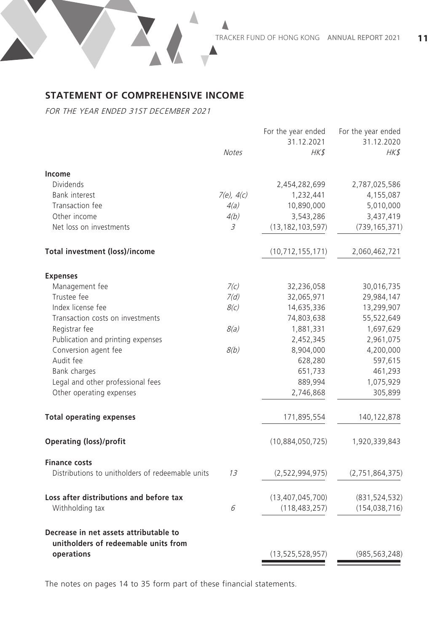# **STATEMENT OF COMPREHENSIVE INCOME**

FOR THE YEAR ENDED 31ST DECEMBER 2021

|            | For the year ended  | For the year ended |
|------------|---------------------|--------------------|
|            | 31.12.2021          | 31.12.2020         |
| Notes      | HK\$                | HK\$               |
|            |                     |                    |
|            | 2,454,282,699       | 2,787,025,586      |
| 7(e), 4(c) | 1,232,441           | 4,155,087          |
| 4(a)       | 10,890,000          | 5,010,000          |
| 4(b)       | 3,543,286           | 3,437,419          |
| 3          | (13, 182, 103, 597) | (739, 165, 371)    |
|            | (10, 712, 155, 171) | 2,060,462,721      |
|            |                     |                    |
| 7(c)       | 32,236,058          | 30,016,735         |
| 7(d)       | 32,065,971          | 29,984,147         |
| 8(c)       | 14,635,336          | 13,299,907         |
|            | 74,803,638          | 55,522,649         |
| 8(a)       | 1,881,331           | 1,697,629          |
|            | 2,452,345           | 2,961,075          |
| 8(b)       | 8,904,000           | 4,200,000          |
|            | 628,280             | 597,615            |
|            | 651,733             | 461,293            |
|            | 889,994             | 1,075,929          |
|            | 2,746,868           | 305,899            |
|            | 171,895,554         | 140,122,878        |
|            | (10,884,050,725)    | 1,920,339,843      |
|            |                     |                    |
| 13         | (2,522,994,975)     | (2,751,864,375)    |
|            | (13,407,045,700)    | (831, 524, 532)    |
| 6          | (118, 483, 257)     | (154, 038, 716)    |
|            |                     |                    |
|            | (13, 525, 528, 957) | (985, 563, 248)    |
|            |                     |                    |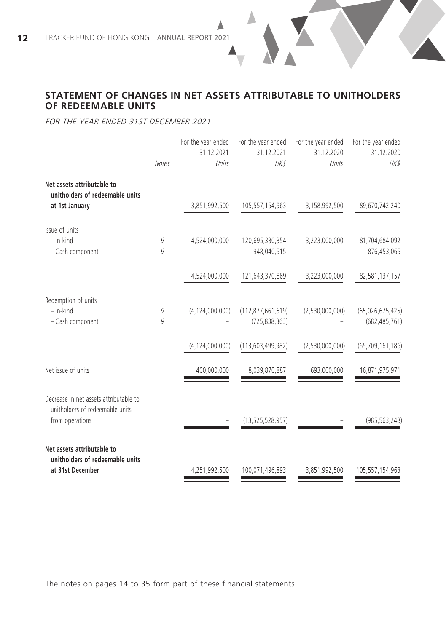# **STATEMENT OF CHANGES IN NET ASSETS ATTRIBUTABLE TO UNITHOLDERS OF REDEEMABLE UNITS**

FOR THE YEAR ENDED 31ST DECEMBER 2021

|                                                                           | Notes | For the year ended<br>31.12.2021<br>Units | For the year ended<br>31.12.2021<br><b>HK\$</b> | For the year ended<br>31.12.2020<br>Units | For the year ended<br>31.12.2020<br><b>HK\$</b> |
|---------------------------------------------------------------------------|-------|-------------------------------------------|-------------------------------------------------|-------------------------------------------|-------------------------------------------------|
| Net assets attributable to<br>unitholders of redeemable units             |       |                                           |                                                 |                                           |                                                 |
| at 1st January                                                            |       | 3,851,992,500                             | 105,557,154,963                                 | 3,158,992,500                             | 89,670,742,240                                  |
| Issue of units                                                            |       |                                           |                                                 |                                           |                                                 |
| $-$ In-kind                                                               | 9     | 4,524,000,000                             | 120,695,330,354                                 | 3,223,000,000                             | 81,704,684,092                                  |
| - Cash component                                                          | 9     |                                           | 948,040,515                                     |                                           | 876,453,065                                     |
|                                                                           |       | 4,524,000,000                             | 121,643,370,869                                 | 3,223,000,000                             | 82,581,137,157                                  |
| Redemption of units                                                       |       |                                           |                                                 |                                           |                                                 |
| $-$ In-kind                                                               | 9     | (4, 124, 000, 000)                        | (112, 877, 661, 619)                            | (2,530,000,000)                           | (65,026,675,425)                                |
| - Cash component                                                          | 9     |                                           | (725, 838, 363)                                 |                                           | (682, 485, 761)                                 |
|                                                                           |       | (4, 124, 000, 000)                        | (113,603,499,982)                               | (2,530,000,000)                           | (65, 709, 161, 186)                             |
| Net issue of units                                                        |       | 400,000,000                               | 8,039,870,887                                   | 693,000,000                               | 16,871,975,971                                  |
| Decrease in net assets attributable to<br>unitholders of redeemable units |       |                                           |                                                 |                                           |                                                 |
| from operations                                                           |       |                                           | (13, 525, 528, 957)                             |                                           | (985, 563, 248)                                 |
| Net assets attributable to                                                |       |                                           |                                                 |                                           |                                                 |
| unitholders of redeemable units<br>at 31st December                       |       | 4,251,992,500                             | 100,071,496,893                                 | 3,851,992,500                             | 105,557,154,963                                 |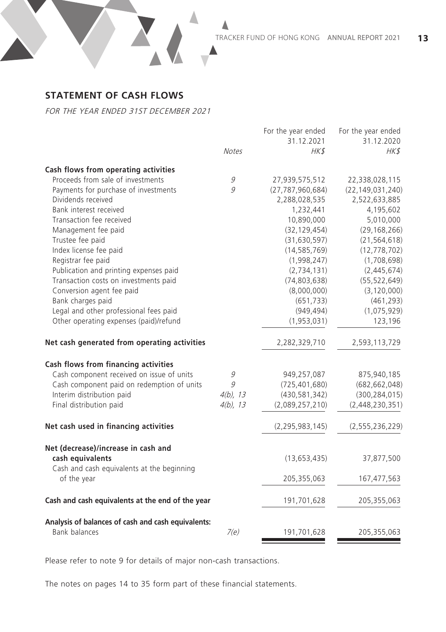# **STATEMENT OF CASH FLOWS**

FOR THE YEAR ENDED 31ST DECEMBER 2021

| <b>Notes</b><br>HK\$<br>Cash flows from operating activities<br>Proceeds from sale of investments<br>9<br>27,939,575,512<br>9<br>Payments for purchase of investments<br>(27, 787, 960, 684)<br>Dividends received<br>2,288,028,535<br>Bank interest received<br>1,232,441<br>Transaction fee received<br>10,890,000<br>Management fee paid<br>(32, 129, 454)<br>Trustee fee paid<br>(31,630,597)<br>Index license fee paid<br>(14, 585, 769)<br>Registrar fee paid<br>(1,998,247)<br>Publication and printing expenses paid<br>(2,734,131)<br>Transaction costs on investments paid<br>(74, 803, 638)<br>Conversion agent fee paid<br>(8,000,000)<br>Bank charges paid<br>(651, 733)<br>Legal and other professional fees paid<br>(949, 494)<br>Other operating expenses (paid)/refund<br>(1,953,031)<br>Net cash generated from operating activities<br>2,282,329,710<br>Cash flows from financing activities<br>Cash component received on issue of units<br>9<br>949,257,087<br>Cash component paid on redemption of units<br>9<br>(725, 401, 680)<br>Interim distribution paid<br>$4(b)$ , 13<br>(430, 581, 342)<br>Final distribution paid<br>$4(b)$ , 13<br>(2,089,257,210)<br>Net cash used in financing activities<br>(2, 295, 983, 145)<br>Net (decrease)/increase in cash and<br>cash equivalents<br>(13, 653, 435)<br>Cash and cash equivalents at the beginning<br>of the year<br>205,355,063<br>Cash and cash equivalents at the end of the year<br>191,701,628<br>Analysis of balances of cash and cash equivalents:<br><b>Bank balances</b><br>7(e)<br>191,701,628 |  | For the year ended | For the year ended  |
|------------------------------------------------------------------------------------------------------------------------------------------------------------------------------------------------------------------------------------------------------------------------------------------------------------------------------------------------------------------------------------------------------------------------------------------------------------------------------------------------------------------------------------------------------------------------------------------------------------------------------------------------------------------------------------------------------------------------------------------------------------------------------------------------------------------------------------------------------------------------------------------------------------------------------------------------------------------------------------------------------------------------------------------------------------------------------------------------------------------------------------------------------------------------------------------------------------------------------------------------------------------------------------------------------------------------------------------------------------------------------------------------------------------------------------------------------------------------------------------------------------------------------------------------------------------------------------|--|--------------------|---------------------|
|                                                                                                                                                                                                                                                                                                                                                                                                                                                                                                                                                                                                                                                                                                                                                                                                                                                                                                                                                                                                                                                                                                                                                                                                                                                                                                                                                                                                                                                                                                                                                                                    |  | 31.12.2021         | 31.12.2020          |
|                                                                                                                                                                                                                                                                                                                                                                                                                                                                                                                                                                                                                                                                                                                                                                                                                                                                                                                                                                                                                                                                                                                                                                                                                                                                                                                                                                                                                                                                                                                                                                                    |  |                    | HK\$                |
|                                                                                                                                                                                                                                                                                                                                                                                                                                                                                                                                                                                                                                                                                                                                                                                                                                                                                                                                                                                                                                                                                                                                                                                                                                                                                                                                                                                                                                                                                                                                                                                    |  |                    |                     |
|                                                                                                                                                                                                                                                                                                                                                                                                                                                                                                                                                                                                                                                                                                                                                                                                                                                                                                                                                                                                                                                                                                                                                                                                                                                                                                                                                                                                                                                                                                                                                                                    |  |                    | 22,338,028,115      |
|                                                                                                                                                                                                                                                                                                                                                                                                                                                                                                                                                                                                                                                                                                                                                                                                                                                                                                                                                                                                                                                                                                                                                                                                                                                                                                                                                                                                                                                                                                                                                                                    |  |                    | (22, 149, 031, 240) |
|                                                                                                                                                                                                                                                                                                                                                                                                                                                                                                                                                                                                                                                                                                                                                                                                                                                                                                                                                                                                                                                                                                                                                                                                                                                                                                                                                                                                                                                                                                                                                                                    |  |                    | 2,522,633,885       |
|                                                                                                                                                                                                                                                                                                                                                                                                                                                                                                                                                                                                                                                                                                                                                                                                                                                                                                                                                                                                                                                                                                                                                                                                                                                                                                                                                                                                                                                                                                                                                                                    |  |                    | 4,195,602           |
|                                                                                                                                                                                                                                                                                                                                                                                                                                                                                                                                                                                                                                                                                                                                                                                                                                                                                                                                                                                                                                                                                                                                                                                                                                                                                                                                                                                                                                                                                                                                                                                    |  |                    | 5,010,000           |
|                                                                                                                                                                                                                                                                                                                                                                                                                                                                                                                                                                                                                                                                                                                                                                                                                                                                                                                                                                                                                                                                                                                                                                                                                                                                                                                                                                                                                                                                                                                                                                                    |  |                    | (29, 168, 266)      |
|                                                                                                                                                                                                                                                                                                                                                                                                                                                                                                                                                                                                                                                                                                                                                                                                                                                                                                                                                                                                                                                                                                                                                                                                                                                                                                                                                                                                                                                                                                                                                                                    |  |                    | (21, 564, 618)      |
|                                                                                                                                                                                                                                                                                                                                                                                                                                                                                                                                                                                                                                                                                                                                                                                                                                                                                                                                                                                                                                                                                                                                                                                                                                                                                                                                                                                                                                                                                                                                                                                    |  |                    | (12, 778, 702)      |
|                                                                                                                                                                                                                                                                                                                                                                                                                                                                                                                                                                                                                                                                                                                                                                                                                                                                                                                                                                                                                                                                                                                                                                                                                                                                                                                                                                                                                                                                                                                                                                                    |  |                    | (1,708,698)         |
|                                                                                                                                                                                                                                                                                                                                                                                                                                                                                                                                                                                                                                                                                                                                                                                                                                                                                                                                                                                                                                                                                                                                                                                                                                                                                                                                                                                                                                                                                                                                                                                    |  |                    | (2,445,674)         |
|                                                                                                                                                                                                                                                                                                                                                                                                                                                                                                                                                                                                                                                                                                                                                                                                                                                                                                                                                                                                                                                                                                                                                                                                                                                                                                                                                                                                                                                                                                                                                                                    |  |                    | (55, 522, 649)      |
|                                                                                                                                                                                                                                                                                                                                                                                                                                                                                                                                                                                                                                                                                                                                                                                                                                                                                                                                                                                                                                                                                                                                                                                                                                                                                                                                                                                                                                                                                                                                                                                    |  |                    | (3, 120, 000)       |
|                                                                                                                                                                                                                                                                                                                                                                                                                                                                                                                                                                                                                                                                                                                                                                                                                                                                                                                                                                                                                                                                                                                                                                                                                                                                                                                                                                                                                                                                                                                                                                                    |  |                    | (461, 293)          |
|                                                                                                                                                                                                                                                                                                                                                                                                                                                                                                                                                                                                                                                                                                                                                                                                                                                                                                                                                                                                                                                                                                                                                                                                                                                                                                                                                                                                                                                                                                                                                                                    |  |                    | (1,075,929)         |
|                                                                                                                                                                                                                                                                                                                                                                                                                                                                                                                                                                                                                                                                                                                                                                                                                                                                                                                                                                                                                                                                                                                                                                                                                                                                                                                                                                                                                                                                                                                                                                                    |  |                    | 123,196             |
|                                                                                                                                                                                                                                                                                                                                                                                                                                                                                                                                                                                                                                                                                                                                                                                                                                                                                                                                                                                                                                                                                                                                                                                                                                                                                                                                                                                                                                                                                                                                                                                    |  |                    | 2,593,113,729       |
|                                                                                                                                                                                                                                                                                                                                                                                                                                                                                                                                                                                                                                                                                                                                                                                                                                                                                                                                                                                                                                                                                                                                                                                                                                                                                                                                                                                                                                                                                                                                                                                    |  |                    |                     |
|                                                                                                                                                                                                                                                                                                                                                                                                                                                                                                                                                                                                                                                                                                                                                                                                                                                                                                                                                                                                                                                                                                                                                                                                                                                                                                                                                                                                                                                                                                                                                                                    |  |                    | 875,940,185         |
|                                                                                                                                                                                                                                                                                                                                                                                                                                                                                                                                                                                                                                                                                                                                                                                                                                                                                                                                                                                                                                                                                                                                                                                                                                                                                                                                                                                                                                                                                                                                                                                    |  |                    | (682, 662, 048)     |
|                                                                                                                                                                                                                                                                                                                                                                                                                                                                                                                                                                                                                                                                                                                                                                                                                                                                                                                                                                                                                                                                                                                                                                                                                                                                                                                                                                                                                                                                                                                                                                                    |  |                    | (300, 284, 015)     |
|                                                                                                                                                                                                                                                                                                                                                                                                                                                                                                                                                                                                                                                                                                                                                                                                                                                                                                                                                                                                                                                                                                                                                                                                                                                                                                                                                                                                                                                                                                                                                                                    |  |                    | (2,448,230,351)     |
|                                                                                                                                                                                                                                                                                                                                                                                                                                                                                                                                                                                                                                                                                                                                                                                                                                                                                                                                                                                                                                                                                                                                                                                                                                                                                                                                                                                                                                                                                                                                                                                    |  |                    | (2, 555, 236, 229)  |
|                                                                                                                                                                                                                                                                                                                                                                                                                                                                                                                                                                                                                                                                                                                                                                                                                                                                                                                                                                                                                                                                                                                                                                                                                                                                                                                                                                                                                                                                                                                                                                                    |  |                    |                     |
|                                                                                                                                                                                                                                                                                                                                                                                                                                                                                                                                                                                                                                                                                                                                                                                                                                                                                                                                                                                                                                                                                                                                                                                                                                                                                                                                                                                                                                                                                                                                                                                    |  |                    | 37,877,500          |
|                                                                                                                                                                                                                                                                                                                                                                                                                                                                                                                                                                                                                                                                                                                                                                                                                                                                                                                                                                                                                                                                                                                                                                                                                                                                                                                                                                                                                                                                                                                                                                                    |  |                    | 167,477,563         |
|                                                                                                                                                                                                                                                                                                                                                                                                                                                                                                                                                                                                                                                                                                                                                                                                                                                                                                                                                                                                                                                                                                                                                                                                                                                                                                                                                                                                                                                                                                                                                                                    |  |                    | 205,355,063         |
|                                                                                                                                                                                                                                                                                                                                                                                                                                                                                                                                                                                                                                                                                                                                                                                                                                                                                                                                                                                                                                                                                                                                                                                                                                                                                                                                                                                                                                                                                                                                                                                    |  |                    |                     |
|                                                                                                                                                                                                                                                                                                                                                                                                                                                                                                                                                                                                                                                                                                                                                                                                                                                                                                                                                                                                                                                                                                                                                                                                                                                                                                                                                                                                                                                                                                                                                                                    |  |                    | 205,355,063         |

Please refer to note 9 for details of major non-cash transactions.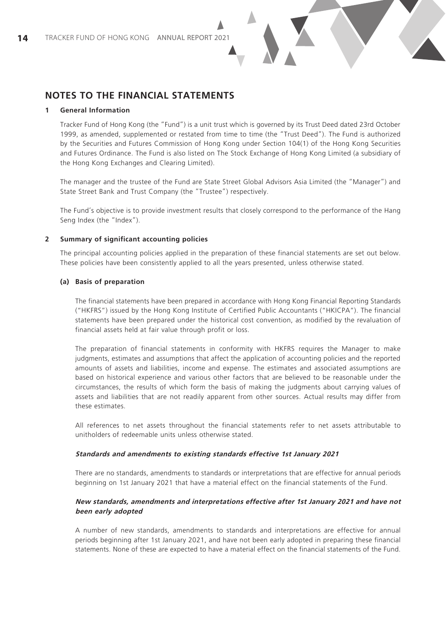# **NOTES TO THE FINANCIAL STATEMENTS**

### **1 General Information**

Tracker Fund of Hong Kong (the "Fund") is a unit trust which is governed by its Trust Deed dated 23rd October 1999, as amended, supplemented or restated from time to time (the "Trust Deed"). The Fund is authorized by the Securities and Futures Commission of Hong Kong under Section 104(1) of the Hong Kong Securities and Futures Ordinance. The Fund is also listed on The Stock Exchange of Hong Kong Limited (a subsidiary of the Hong Kong Exchanges and Clearing Limited).

The manager and the trustee of the Fund are State Street Global Advisors Asia Limited (the "Manager") and State Street Bank and Trust Company (the "Trustee") respectively.

The Fund's objective is to provide investment results that closely correspond to the performance of the Hang Seng Index (the "Index").

#### **2 Summary of significant accounting policies**

The principal accounting policies applied in the preparation of these financial statements are set out below. These policies have been consistently applied to all the years presented, unless otherwise stated.

#### **(a) Basis of preparation**

The financial statements have been prepared in accordance with Hong Kong Financial Reporting Standards ("HKFRS") issued by the Hong Kong Institute of Certified Public Accountants ("HKICPA"). The financial statements have been prepared under the historical cost convention, as modified by the revaluation of financial assets held at fair value through profit or loss.

The preparation of financial statements in conformity with HKFRS requires the Manager to make judgments, estimates and assumptions that affect the application of accounting policies and the reported amounts of assets and liabilities, income and expense. The estimates and associated assumptions are based on historical experience and various other factors that are believed to be reasonable under the circumstances, the results of which form the basis of making the judgments about carrying values of assets and liabilities that are not readily apparent from other sources. Actual results may differ from these estimates.

All references to net assets throughout the financial statements refer to net assets attributable to unitholders of redeemable units unless otherwise stated.

### **Standards and amendments to existing standards effective 1st January 2021**

There are no standards, amendments to standards or interpretations that are effective for annual periods beginning on 1st January 2021 that have a material effect on the financial statements of the Fund.

### **New standards, amendments and interpretations effective after 1st January 2021 and have not been early adopted**

A number of new standards, amendments to standards and interpretations are effective for annual periods beginning after 1st January 2021, and have not been early adopted in preparing these financial statements. None of these are expected to have a material effect on the financial statements of the Fund.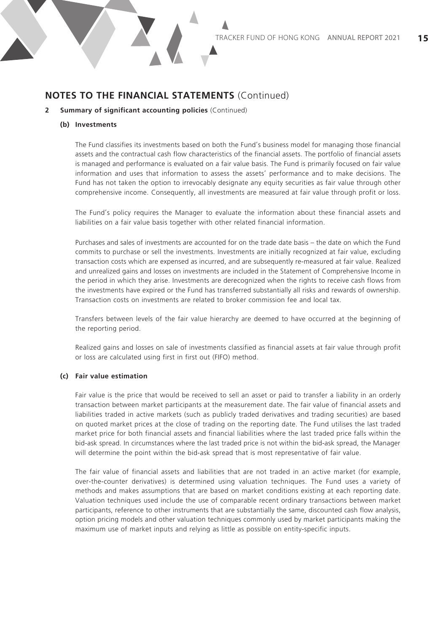### **2 Summary of significant accounting policies** (Continued)

### **(b) Investments**

The Fund classifies its investments based on both the Fund's business model for managing those financial assets and the contractual cash flow characteristics of the financial assets. The portfolio of financial assets is managed and performance is evaluated on a fair value basis. The Fund is primarily focused on fair value information and uses that information to assess the assets' performance and to make decisions. The Fund has not taken the option to irrevocably designate any equity securities as fair value through other comprehensive income. Consequently, all investments are measured at fair value through profit or loss.

The Fund's policy requires the Manager to evaluate the information about these financial assets and liabilities on a fair value basis together with other related financial information.

Purchases and sales of investments are accounted for on the trade date basis – the date on which the Fund commits to purchase or sell the investments. Investments are initially recognized at fair value, excluding transaction costs which are expensed as incurred, and are subsequently re-measured at fair value. Realized and unrealized gains and losses on investments are included in the Statement of Comprehensive Income in the period in which they arise. Investments are derecognized when the rights to receive cash flows from the investments have expired or the Fund has transferred substantially all risks and rewards of ownership. Transaction costs on investments are related to broker commission fee and local tax.

Transfers between levels of the fair value hierarchy are deemed to have occurred at the beginning of the reporting period.

Realized gains and losses on sale of investments classified as financial assets at fair value through profit or loss are calculated using first in first out (FIFO) method.

### **(c) Fair value estimation**

Fair value is the price that would be received to sell an asset or paid to transfer a liability in an orderly transaction between market participants at the measurement date. The fair value of financial assets and liabilities traded in active markets (such as publicly traded derivatives and trading securities) are based on quoted market prices at the close of trading on the reporting date. The Fund utilises the last traded market price for both financial assets and financial liabilities where the last traded price falls within the bid-ask spread. In circumstances where the last traded price is not within the bid-ask spread, the Manager will determine the point within the bid-ask spread that is most representative of fair value.

The fair value of financial assets and liabilities that are not traded in an active market (for example, over-the-counter derivatives) is determined using valuation techniques. The Fund uses a variety of methods and makes assumptions that are based on market conditions existing at each reporting date. Valuation techniques used include the use of comparable recent ordinary transactions between market participants, reference to other instruments that are substantially the same, discounted cash flow analysis, option pricing models and other valuation techniques commonly used by market participants making the maximum use of market inputs and relying as little as possible on entity-specific inputs.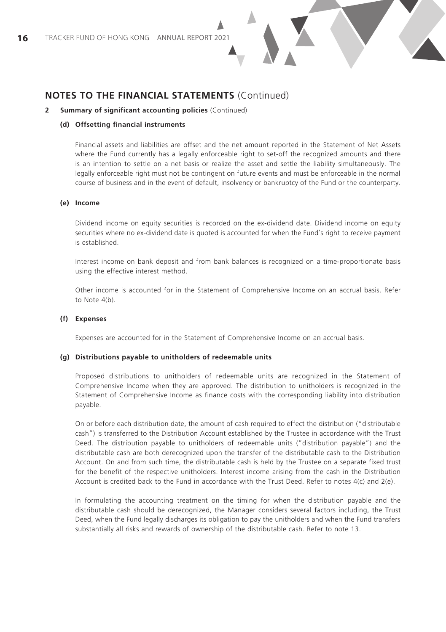#### **2 Summary of significant accounting policies** (Continued)

### **(d) Offsetting financial instruments**

Financial assets and liabilities are offset and the net amount reported in the Statement of Net Assets where the Fund currently has a legally enforceable right to set-off the recognized amounts and there is an intention to settle on a net basis or realize the asset and settle the liability simultaneously. The legally enforceable right must not be contingent on future events and must be enforceable in the normal course of business and in the event of default, insolvency or bankruptcy of the Fund or the counterparty.

### **(e) Income**

Dividend income on equity securities is recorded on the ex-dividend date. Dividend income on equity securities where no ex-dividend date is quoted is accounted for when the Fund's right to receive payment is established.

Interest income on bank deposit and from bank balances is recognized on a time-proportionate basis using the effective interest method.

Other income is accounted for in the Statement of Comprehensive Income on an accrual basis. Refer to Note 4(b).

#### **(f) Expenses**

Expenses are accounted for in the Statement of Comprehensive Income on an accrual basis.

#### **(g) Distributions payable to unitholders of redeemable units**

Proposed distributions to unitholders of redeemable units are recognized in the Statement of Comprehensive Income when they are approved. The distribution to unitholders is recognized in the Statement of Comprehensive Income as finance costs with the corresponding liability into distribution payable.

On or before each distribution date, the amount of cash required to effect the distribution ("distributable cash") is transferred to the Distribution Account established by the Trustee in accordance with the Trust Deed. The distribution payable to unitholders of redeemable units ("distribution payable") and the distributable cash are both derecognized upon the transfer of the distributable cash to the Distribution Account. On and from such time, the distributable cash is held by the Trustee on a separate fixed trust for the benefit of the respective unitholders. Interest income arising from the cash in the Distribution Account is credited back to the Fund in accordance with the Trust Deed. Refer to notes 4(c) and 2(e).

In formulating the accounting treatment on the timing for when the distribution payable and the distributable cash should be derecognized, the Manager considers several factors including, the Trust Deed, when the Fund legally discharges its obligation to pay the unitholders and when the Fund transfers substantially all risks and rewards of ownership of the distributable cash. Refer to note 13.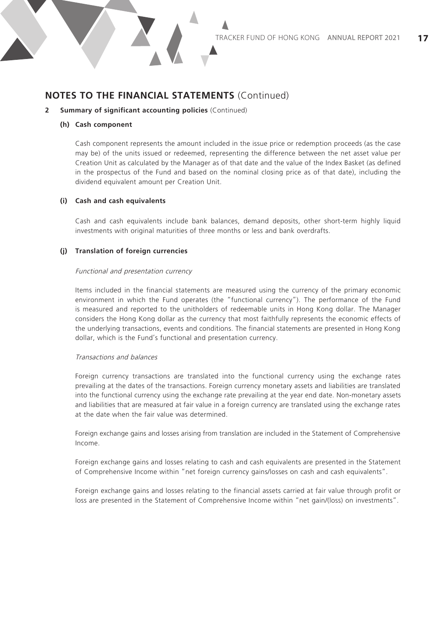

### **2 Summary of significant accounting policies** (Continued)

### **(h) Cash component**

Cash component represents the amount included in the issue price or redemption proceeds (as the case may be) of the units issued or redeemed, representing the difference between the net asset value per Creation Unit as calculated by the Manager as of that date and the value of the Index Basket (as defined in the prospectus of the Fund and based on the nominal closing price as of that date), including the dividend equivalent amount per Creation Unit.

#### **(i) Cash and cash equivalents**

Cash and cash equivalents include bank balances, demand deposits, other short-term highly liquid investments with original maturities of three months or less and bank overdrafts.

### **(j) Translation of foreign currencies**

#### Functional and presentation currency

Items included in the financial statements are measured using the currency of the primary economic environment in which the Fund operates (the "functional currency"). The performance of the Fund is measured and reported to the unitholders of redeemable units in Hong Kong dollar. The Manager considers the Hong Kong dollar as the currency that most faithfully represents the economic effects of the underlying transactions, events and conditions. The financial statements are presented in Hong Kong dollar, which is the Fund's functional and presentation currency.

#### Transactions and balances

Foreign currency transactions are translated into the functional currency using the exchange rates prevailing at the dates of the transactions. Foreign currency monetary assets and liabilities are translated into the functional currency using the exchange rate prevailing at the year end date. Non-monetary assets and liabilities that are measured at fair value in a foreign currency are translated using the exchange rates at the date when the fair value was determined.

Foreign exchange gains and losses arising from translation are included in the Statement of Comprehensive Income.

Foreign exchange gains and losses relating to cash and cash equivalents are presented in the Statement of Comprehensive Income within "net foreign currency gains/losses on cash and cash equivalents".

Foreign exchange gains and losses relating to the financial assets carried at fair value through profit or loss are presented in the Statement of Comprehensive Income within "net gain/(loss) on investments".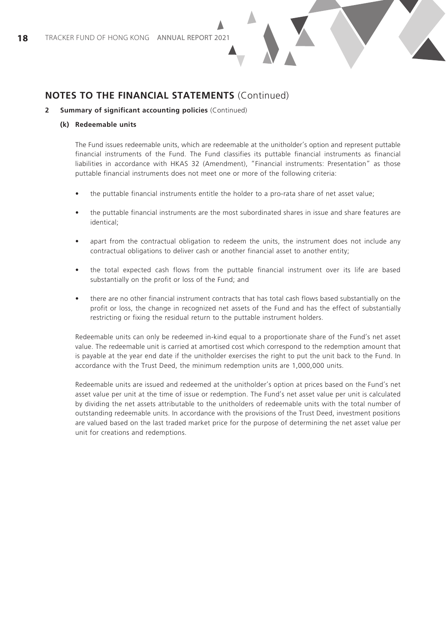### **2 Summary of significant accounting policies** (Continued)

### **(k) Redeemable units**

The Fund issues redeemable units, which are redeemable at the unitholder's option and represent puttable financial instruments of the Fund. The Fund classifies its puttable financial instruments as financial liabilities in accordance with HKAS 32 (Amendment), "Financial instruments: Presentation" as those puttable financial instruments does not meet one or more of the following criteria:

- the puttable financial instruments entitle the holder to a pro-rata share of net asset value;
- the puttable financial instruments are the most subordinated shares in issue and share features are identical;
- apart from the contractual obligation to redeem the units, the instrument does not include any contractual obligations to deliver cash or another financial asset to another entity;
- the total expected cash flows from the puttable financial instrument over its life are based substantially on the profit or loss of the Fund; and
- there are no other financial instrument contracts that has total cash flows based substantially on the profit or loss, the change in recognized net assets of the Fund and has the effect of substantially restricting or fixing the residual return to the puttable instrument holders.

Redeemable units can only be redeemed in-kind equal to a proportionate share of the Fund's net asset value. The redeemable unit is carried at amortised cost which correspond to the redemption amount that is payable at the year end date if the unitholder exercises the right to put the unit back to the Fund. In accordance with the Trust Deed, the minimum redemption units are 1,000,000 units.

Redeemable units are issued and redeemed at the unitholder's option at prices based on the Fund's net asset value per unit at the time of issue or redemption. The Fund's net asset value per unit is calculated by dividing the net assets attributable to the unitholders of redeemable units with the total number of outstanding redeemable units. In accordance with the provisions of the Trust Deed, investment positions are valued based on the last traded market price for the purpose of determining the net asset value per unit for creations and redemptions.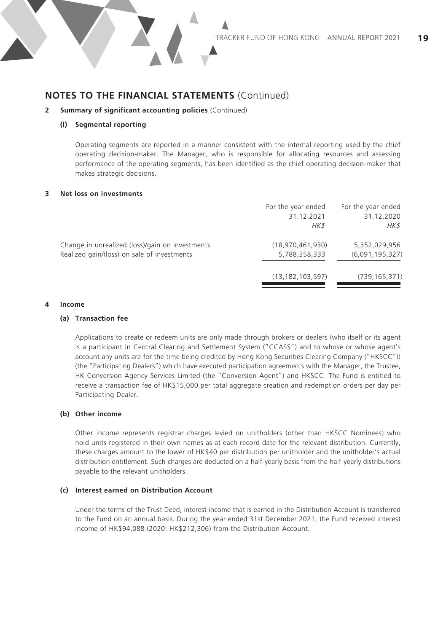

### **2 Summary of significant accounting policies** (Continued)

### **(l) Segmental reporting**

Operating segments are reported in a manner consistent with the internal reporting used by the chief operating decision-maker. The Manager, who is responsible for allocating resources and assessing performance of the operating segments, has been identified as the chief operating decision-maker that makes strategic decisions.

### **3 Net loss on investments**

|                                                                                                | For the year ended<br>31.12.2021<br>HK\$ | For the year ended<br>31.12.2020<br>HK\$ |
|------------------------------------------------------------------------------------------------|------------------------------------------|------------------------------------------|
| Change in unrealized (loss)/gain on investments<br>Realized gain/(loss) on sale of investments | (18,970,461,930)<br>5,788,358,333        | 5,352,029,956<br>(6,091,195,327)         |
|                                                                                                | (13, 182, 103, 597)                      | (739, 165, 371)                          |

### **4 Income**

### **(a) Transaction fee**

Applications to create or redeem units are only made through brokers or dealers (who itself or its agent is a participant in Central Clearing and Settlement System ("CCASS") and to whose or whose agent's account any units are for the time being credited by Hong Kong Securities Clearing Company ("HKSCC")) (the "Participating Dealers") which have executed participation agreements with the Manager, the Trustee, HK Conversion Agency Services Limited (the "Conversion Agent") and HKSCC. The Fund is entitled to receive a transaction fee of HK\$15,000 per total aggregate creation and redemption orders per day per Participating Dealer.

### **(b) Other income**

Other income represents registrar charges levied on unitholders (other than HKSCC Nominees) who hold units registered in their own names as at each record date for the relevant distribution. Currently, these charges amount to the lower of HK\$40 per distribution per unitholder and the unitholder's actual distribution entitlement. Such charges are deducted on a half-yearly basis from the half-yearly distributions payable to the relevant unitholders.

### **(c) Interest earned on Distribution Account**

Under the terms of the Trust Deed, interest income that is earned in the Distribution Account is transferred to the Fund on an annual basis. During the year ended 31st December 2021, the Fund received interest income of HK\$94,088 (2020: HK\$212,306) from the Distribution Account.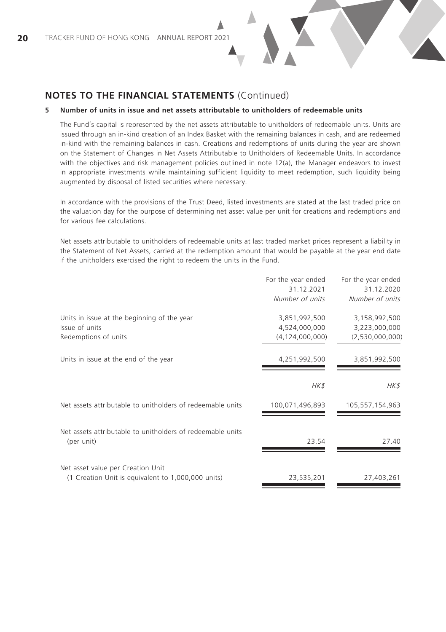### **5 Number of units in issue and net assets attributable to unitholders of redeemable units**

The Fund's capital is represented by the net assets attributable to unitholders of redeemable units. Units are issued through an in-kind creation of an Index Basket with the remaining balances in cash, and are redeemed in-kind with the remaining balances in cash. Creations and redemptions of units during the year are shown on the Statement of Changes in Net Assets Attributable to Unitholders of Redeemable Units. In accordance with the objectives and risk management policies outlined in note 12(a), the Manager endeavors to invest in appropriate investments while maintaining sufficient liquidity to meet redemption, such liquidity being augmented by disposal of listed securities where necessary.

In accordance with the provisions of the Trust Deed, listed investments are stated at the last traded price on the valuation day for the purpose of determining net asset value per unit for creations and redemptions and for various fee calculations.

Net assets attributable to unitholders of redeemable units at last traded market prices represent a liability in the Statement of Net Assets, carried at the redemption amount that would be payable at the year end date if the unitholders exercised the right to redeem the units in the Fund.

|                                                                                         | For the year ended<br>31.12.2021 | For the year ended<br>31.12.2020 |
|-----------------------------------------------------------------------------------------|----------------------------------|----------------------------------|
|                                                                                         | Number of units                  | Number of units                  |
| Units in issue at the beginning of the year                                             | 3,851,992,500                    | 3,158,992,500                    |
| Issue of units                                                                          | 4,524,000,000                    | 3,223,000,000                    |
| Redemptions of units                                                                    | (4, 124, 000, 000)               | (2,530,000,000)                  |
| Units in issue at the end of the year                                                   | 4,251,992,500                    | 3,851,992,500                    |
|                                                                                         | HK\$                             | HK\$                             |
| Net assets attributable to unitholders of redeemable units                              | 100,071,496,893                  | 105,557,154,963                  |
| Net assets attributable to unitholders of redeemable units<br>(per unit)                | 23.54                            | 27.40                            |
| Net asset value per Creation Unit<br>(1 Creation Unit is equivalent to 1,000,000 units) | 23,535,201                       | 27,403,261                       |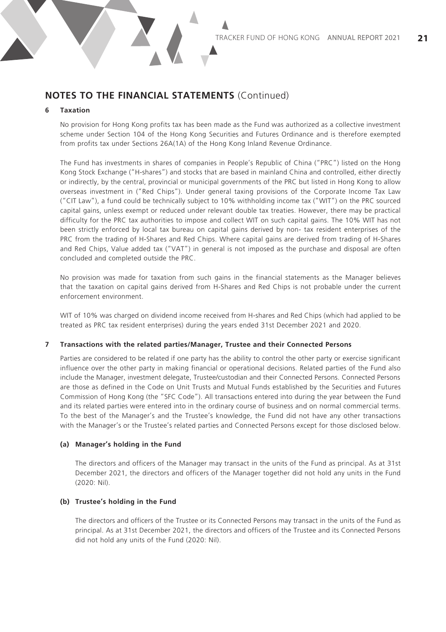### **6 Taxation**

No provision for Hong Kong profits tax has been made as the Fund was authorized as a collective investment scheme under Section 104 of the Hong Kong Securities and Futures Ordinance and is therefore exempted from profits tax under Sections 26A(1A) of the Hong Kong Inland Revenue Ordinance.

The Fund has investments in shares of companies in People's Republic of China ("PRC") listed on the Hong Kong Stock Exchange ("H-shares") and stocks that are based in mainland China and controlled, either directly or indirectly, by the central, provincial or municipal governments of the PRC but listed in Hong Kong to allow overseas investment in ("Red Chips"). Under general taxing provisions of the Corporate Income Tax Law ("CIT Law"), a fund could be technically subject to 10% withholding income tax ("WIT") on the PRC sourced capital gains, unless exempt or reduced under relevant double tax treaties. However, there may be practical difficulty for the PRC tax authorities to impose and collect WIT on such capital gains. The 10% WIT has not been strictly enforced by local tax bureau on capital gains derived by non- tax resident enterprises of the PRC from the trading of H-Shares and Red Chips. Where capital gains are derived from trading of H-Shares and Red Chips, Value added tax ("VAT") in general is not imposed as the purchase and disposal are often concluded and completed outside the PRC.

No provision was made for taxation from such gains in the financial statements as the Manager believes that the taxation on capital gains derived from H-Shares and Red Chips is not probable under the current enforcement environment.

WIT of 10% was charged on dividend income received from H-shares and Red Chips (which had applied to be treated as PRC tax resident enterprises) during the years ended 31st December 2021 and 2020.

### **7 Transactions with the related parties/Manager, Trustee and their Connected Persons**

Parties are considered to be related if one party has the ability to control the other party or exercise significant influence over the other party in making financial or operational decisions. Related parties of the Fund also include the Manager, investment delegate, Trustee/custodian and their Connected Persons. Connected Persons are those as defined in the Code on Unit Trusts and Mutual Funds established by the Securities and Futures Commission of Hong Kong (the "SFC Code"). All transactions entered into during the year between the Fund and its related parties were entered into in the ordinary course of business and on normal commercial terms. To the best of the Manager's and the Trustee's knowledge, the Fund did not have any other transactions with the Manager's or the Trustee's related parties and Connected Persons except for those disclosed below.

### **(a) Manager's holding in the Fund**

The directors and officers of the Manager may transact in the units of the Fund as principal. As at 31st December 2021, the directors and officers of the Manager together did not hold any units in the Fund (2020: Nil).

### **(b) Trustee's holding in the Fund**

The directors and officers of the Trustee or its Connected Persons may transact in the units of the Fund as principal. As at 31st December 2021, the directors and officers of the Trustee and its Connected Persons did not hold any units of the Fund (2020: Nil).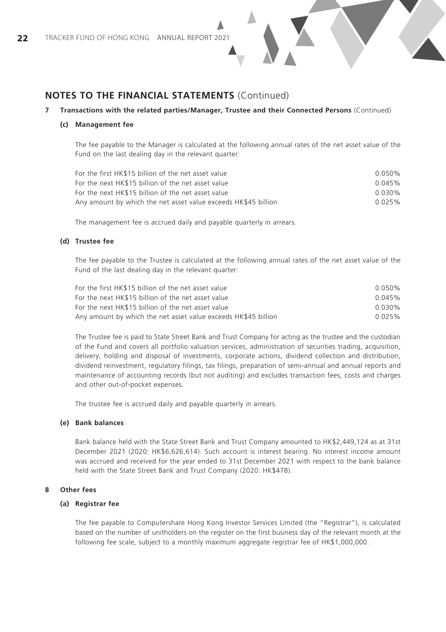### **7 Transactions with the related parties/Manager, Trustee and their Connected Persons** (Continued)

#### **(c) Management fee**

The fee payable to the Manager is calculated at the following annual rates of the net asset value of the Fund on the last dealing day in the relevant quarter:

| For the first HK\$15 billion of the net asset value            | $0.050\%$ |
|----------------------------------------------------------------|-----------|
| For the next HK\$15 billion of the net asset value             | 0.045%    |
| For the next HK\$15 billion of the net asset value             | $0.030\%$ |
| Any amount by which the net asset value exceeds HK\$45 billion | 0.025%    |

The management fee is accrued daily and payable quarterly in arrears.

### **(d) Trustee fee**

The fee payable to the Trustee is calculated at the following annual rates of the net asset value of the Fund of the last dealing day in the relevant quarter:

| For the first HK\$15 billion of the net asset value            | $0.050\%$ |
|----------------------------------------------------------------|-----------|
| For the next HK\$15 billion of the net asset value             | 0.045%    |
| For the next HK\$15 billion of the net asset value             | $0.030\%$ |
| Any amount by which the net asset value exceeds HK\$45 billion | 0.025%    |

The Trustee fee is paid to State Street Bank and Trust Company for acting as the trustee and the custodian of the Fund and covers all portfolio valuation services, administration of securities trading, acquisition, delivery, holding and disposal of investments, corporate actions, dividend collection and distribution, dividend reinvestment, regulatory filings, tax filings, preparation of semi-annual and annual reports and maintenance of accounting records (but not auditing) and excludes transaction fees, costs and charges and other out-of-pocket expenses.

The trustee fee is accrued daily and payable quarterly in arrears.

### **(e) Bank balances**

Bank balance held with the State Street Bank and Trust Company amounted to HK\$2,449,124 as at 31st December 2021 (2020: HK\$6,626,614). Such account is interest bearing. No interest income amount was accrued and received for the year ended to 31st December 2021 with respect to the bank balance held with the State Street Bank and Trust Company (2020: HK\$478).

### **8 Other fees**

### **(a) Registrar fee**

The fee payable to Computershare Hong Kong Investor Services Limited (the "Registrar"), is calculated based on the number of unitholders on the register on the first business day of the relevant month at the following fee scale, subject to a monthly maximum aggregate registrar fee of HK\$1,000,000.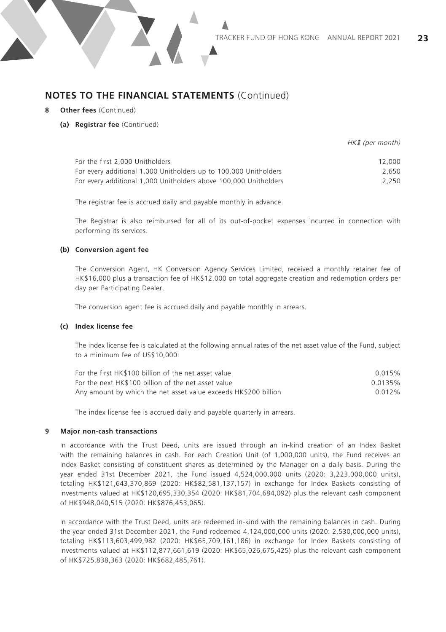

#### **8 Other fees** (Continued)

**(a) Registrar fee** (Continued)

HK\$ (per month)

| For the first 2,000 Unitholders                                  | 12,000 |
|------------------------------------------------------------------|--------|
| For every additional 1,000 Unitholders up to 100,000 Unitholders | 2.650  |
| For every additional 1,000 Unitholders above 100,000 Unitholders | 2.250  |

The registrar fee is accrued daily and payable monthly in advance.

The Registrar is also reimbursed for all of its out-of-pocket expenses incurred in connection with performing its services.

### **(b) Conversion agent fee**

The Conversion Agent, HK Conversion Agency Services Limited, received a monthly retainer fee of HK\$16,000 plus a transaction fee of HK\$12,000 on total aggregate creation and redemption orders per day per Participating Dealer.

The conversion agent fee is accrued daily and payable monthly in arrears.

### **(c) Index license fee**

The index license fee is calculated at the following annual rates of the net asset value of the Fund, subject to a minimum fee of US\$10,000:

| For the first HK\$100 billion of the net asset value            | 0.015%  |
|-----------------------------------------------------------------|---------|
| For the next HK\$100 billion of the net asset value             | 0.0135% |
| Any amount by which the net asset value exceeds HK\$200 billion | 0.012%  |

The index license fee is accrued daily and payable quarterly in arrears.

#### **9 Major non-cash transactions**

In accordance with the Trust Deed, units are issued through an in-kind creation of an Index Basket with the remaining balances in cash. For each Creation Unit (of 1,000,000 units), the Fund receives an Index Basket consisting of constituent shares as determined by the Manager on a daily basis. During the year ended 31st December 2021, the Fund issued 4,524,000,000 units (2020: 3,223,000,000 units), totaling HK\$121,643,370,869 (2020: HK\$82,581,137,157) in exchange for Index Baskets consisting of investments valued at HK\$120,695,330,354 (2020: HK\$81,704,684,092) plus the relevant cash component of HK\$948,040,515 (2020: HK\$876,453,065).

In accordance with the Trust Deed, units are redeemed in-kind with the remaining balances in cash. During the year ended 31st December 2021, the Fund redeemed 4,124,000,000 units (2020: 2,530,000,000 units), totaling HK\$113,603,499,982 (2020: HK\$65,709,161,186) in exchange for Index Baskets consisting of investments valued at HK\$112,877,661,619 (2020: HK\$65,026,675,425) plus the relevant cash component of HK\$725,838,363 (2020: HK\$682,485,761).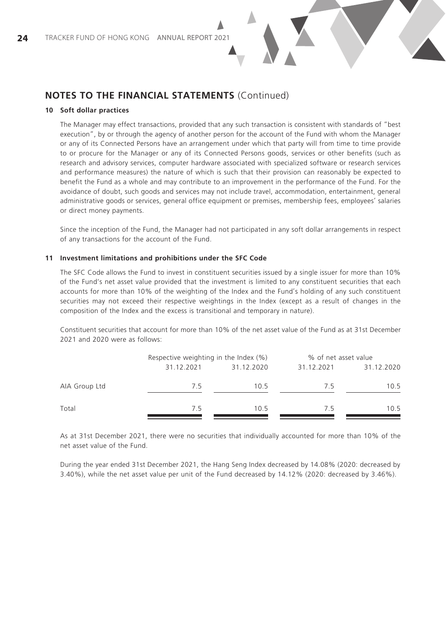### **10 Soft dollar practices**

The Manager may effect transactions, provided that any such transaction is consistent with standards of "best execution", by or through the agency of another person for the account of the Fund with whom the Manager or any of its Connected Persons have an arrangement under which that party will from time to time provide to or procure for the Manager or any of its Connected Persons goods, services or other benefits (such as research and advisory services, computer hardware associated with specialized software or research services and performance measures) the nature of which is such that their provision can reasonably be expected to benefit the Fund as a whole and may contribute to an improvement in the performance of the Fund. For the avoidance of doubt, such goods and services may not include travel, accommodation, entertainment, general administrative goods or services, general office equipment or premises, membership fees, employees' salaries or direct money payments.

Since the inception of the Fund, the Manager had not participated in any soft dollar arrangements in respect of any transactions for the account of the Fund.

### **11 Investment limitations and prohibitions under the SFC Code**

The SFC Code allows the Fund to invest in constituent securities issued by a single issuer for more than 10% of the Fund's net asset value provided that the investment is limited to any constituent securities that each accounts for more than 10% of the weighting of the Index and the Fund's holding of any such constituent securities may not exceed their respective weightings in the Index (except as a result of changes in the composition of the Index and the excess is transitional and temporary in nature).

Constituent securities that account for more than 10% of the net asset value of the Fund as at 31st December 2021 and 2020 were as follows:

|               |            | Respective weighting in the Index (%) |            | % of net asset value |  |
|---------------|------------|---------------------------------------|------------|----------------------|--|
|               | 31.12.2021 | 31.12.2020                            | 31.12.2021 | 31.12.2020           |  |
| AIA Group Ltd | 7.5        | 10.5                                  | 7.5        | 10.5                 |  |
| Total         | 7.5        | 10.5                                  | 75         | 10.5                 |  |

As at 31st December 2021, there were no securities that individually accounted for more than 10% of the net asset value of the Fund.

During the year ended 31st December 2021, the Hang Seng Index decreased by 14.08% (2020: decreased by 3.40%), while the net asset value per unit of the Fund decreased by 14.12% (2020: decreased by 3.46%).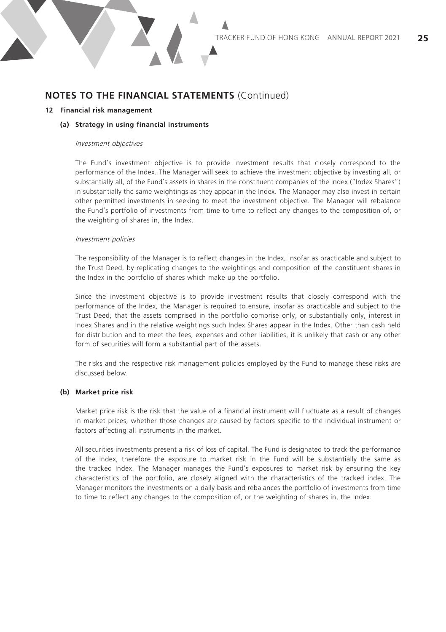### **12 Financial risk management**

### **(a) Strategy in using financial instruments**

### Investment objectives

The Fund's investment objective is to provide investment results that closely correspond to the performance of the Index. The Manager will seek to achieve the investment objective by investing all, or substantially all, of the Fund's assets in shares in the constituent companies of the Index ("Index Shares") in substantially the same weightings as they appear in the Index. The Manager may also invest in certain other permitted investments in seeking to meet the investment objective. The Manager will rebalance the Fund's portfolio of investments from time to time to reflect any changes to the composition of, or the weighting of shares in, the Index.

#### Investment policies

The responsibility of the Manager is to reflect changes in the Index, insofar as practicable and subject to the Trust Deed, by replicating changes to the weightings and composition of the constituent shares in the Index in the portfolio of shares which make up the portfolio.

Since the investment objective is to provide investment results that closely correspond with the performance of the Index, the Manager is required to ensure, insofar as practicable and subject to the Trust Deed, that the assets comprised in the portfolio comprise only, or substantially only, interest in Index Shares and in the relative weightings such Index Shares appear in the Index. Other than cash held for distribution and to meet the fees, expenses and other liabilities, it is unlikely that cash or any other form of securities will form a substantial part of the assets.

The risks and the respective risk management policies employed by the Fund to manage these risks are discussed below.

### **(b) Market price risk**

Market price risk is the risk that the value of a financial instrument will fluctuate as a result of changes in market prices, whether those changes are caused by factors specific to the individual instrument or factors affecting all instruments in the market.

All securities investments present a risk of loss of capital. The Fund is designated to track the performance of the Index, therefore the exposure to market risk in the Fund will be substantially the same as the tracked Index. The Manager manages the Fund's exposures to market risk by ensuring the key characteristics of the portfolio, are closely aligned with the characteristics of the tracked index. The Manager monitors the investments on a daily basis and rebalances the portfolio of investments from time to time to reflect any changes to the composition of, or the weighting of shares in, the Index.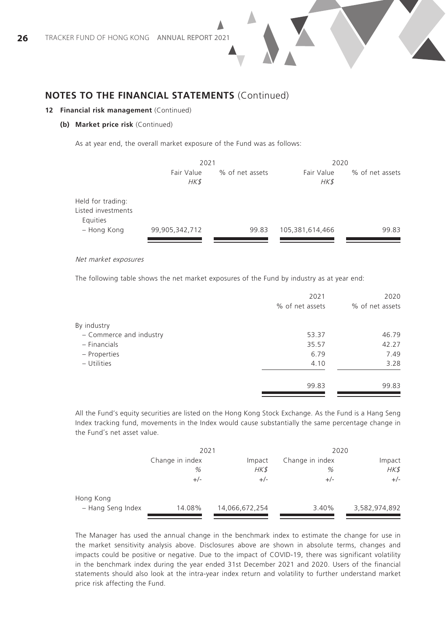#### **12 Financial risk management** (Continued)

### **(b) Market price risk** (Continued)

As at year end, the overall market exposure of the Fund was as follows:

|                                                     |                    | 2021            |                    | 2020            |
|-----------------------------------------------------|--------------------|-----------------|--------------------|-----------------|
|                                                     | Fair Value<br>HK\$ | % of net assets | Fair Value<br>HK\$ | % of net assets |
| Held for trading:<br>Listed investments<br>Equities |                    |                 |                    |                 |
| - Hong Kong                                         | 99,905,342,712     | 99.83           | 105,381,614,466    | 99.83           |

Net market exposures

The following table shows the net market exposures of the Fund by industry as at year end:

|                         | 2021            | 2020            |
|-------------------------|-----------------|-----------------|
|                         | % of net assets | % of net assets |
| By industry             |                 |                 |
| - Commerce and industry | 53.37           | 46.79           |
| - Financials            | 35.57           | 42.27           |
| - Properties            | 6.79            | 7.49            |
| - Utilities             | 4.10            | 3.28            |
|                         | 99.83           | 99.83           |

All the Fund's equity securities are listed on the Hong Kong Stock Exchange. As the Fund is a Hang Seng Index tracking fund, movements in the Index would cause substantially the same percentage change in the Fund's net asset value.

|                   | 2021            |                | 2020            |               |
|-------------------|-----------------|----------------|-----------------|---------------|
|                   | Change in index | Impact         | Change in index | Impact        |
|                   | %               | HK\$           | %               | HK\$          |
|                   | $+/-$           | $+/-$          | $+/-$           | $+/-$         |
| Hong Kong         |                 |                |                 |               |
| - Hang Seng Index | 14.08%          | 14,066,672,254 | 3.40%           | 3,582,974,892 |

The Manager has used the annual change in the benchmark index to estimate the change for use in the market sensitivity analysis above. Disclosures above are shown in absolute terms, changes and impacts could be positive or negative. Due to the impact of COVID-19, there was significant volatility in the benchmark index during the year ended 31st December 2021 and 2020. Users of the financial statements should also look at the intra-year index return and volatility to further understand market price risk affecting the Fund.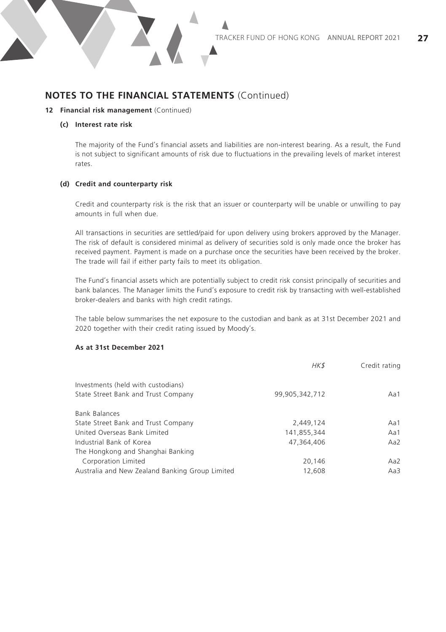

#### **12 Financial risk management** (Continued)

#### **(c) Interest rate risk**

The majority of the Fund's financial assets and liabilities are non-interest bearing. As a result, the Fund is not subject to significant amounts of risk due to fluctuations in the prevailing levels of market interest rates.

#### **(d) Credit and counterparty risk**

Credit and counterparty risk is the risk that an issuer or counterparty will be unable or unwilling to pay amounts in full when due.

All transactions in securities are settled/paid for upon delivery using brokers approved by the Manager. The risk of default is considered minimal as delivery of securities sold is only made once the broker has received payment. Payment is made on a purchase once the securities have been received by the broker. The trade will fail if either party fails to meet its obligation.

The Fund's financial assets which are potentially subject to credit risk consist principally of securities and bank balances. The Manager limits the Fund's exposure to credit risk by transacting with well-established broker-dealers and banks with high credit ratings.

The table below summarises the net exposure to the custodian and bank as at 31st December 2021 and 2020 together with their credit rating issued by Moody's.

### **As at 31st December 2021**

| HK\$           | Credit rating |
|----------------|---------------|
|                |               |
| 99,905,342,712 | Aa1           |
|                |               |
| 2.449.124      | Aa1           |
| 141,855,344    | Aa1           |
| 47.364.406     | Aa2           |
|                |               |
| 20,146         | Aa2           |
| 12.608         | Aa3           |
|                |               |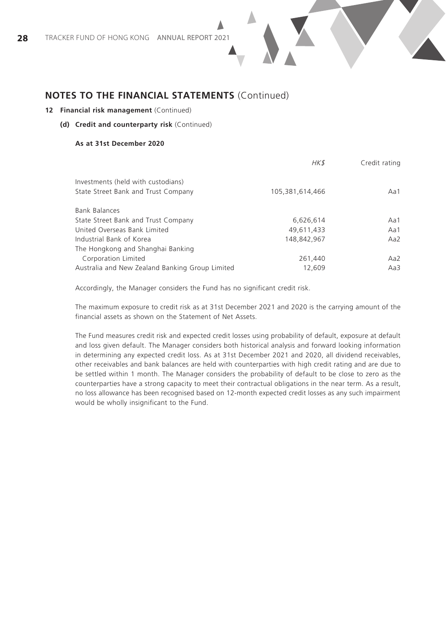### **12 Financial risk management** (Continued)

**(d) Credit and counterparty risk** (Continued)

### **As at 31st December 2020**

|                                                 | HK\$            | Credit rating |
|-------------------------------------------------|-----------------|---------------|
| Investments (held with custodians)              |                 |               |
| State Street Bank and Trust Company             | 105.381.614.466 | Aa1           |
| <b>Bank Balances</b>                            |                 |               |
| State Street Bank and Trust Company             | 6,626,614       | Aa1           |
| United Overseas Bank Limited                    | 49,611,433      | Aa1           |
| Industrial Bank of Korea                        | 148.842.967     | Aa2           |
| The Hongkong and Shanghai Banking               |                 |               |
| Corporation Limited                             | 261,440         | Aa2           |
| Australia and New Zealand Banking Group Limited | 12,609          | Aa3           |
|                                                 |                 |               |

Accordingly, the Manager considers the Fund has no significant credit risk.

The maximum exposure to credit risk as at 31st December 2021 and 2020 is the carrying amount of the financial assets as shown on the Statement of Net Assets.

The Fund measures credit risk and expected credit losses using probability of default, exposure at default and loss given default. The Manager considers both historical analysis and forward looking information in determining any expected credit loss. As at 31st December 2021 and 2020, all dividend receivables, other receivables and bank balances are held with counterparties with high credit rating and are due to be settled within 1 month. The Manager considers the probability of default to be close to zero as the counterparties have a strong capacity to meet their contractual obligations in the near term. As a result, no loss allowance has been recognised based on 12-month expected credit losses as any such impairment would be wholly insignificant to the Fund.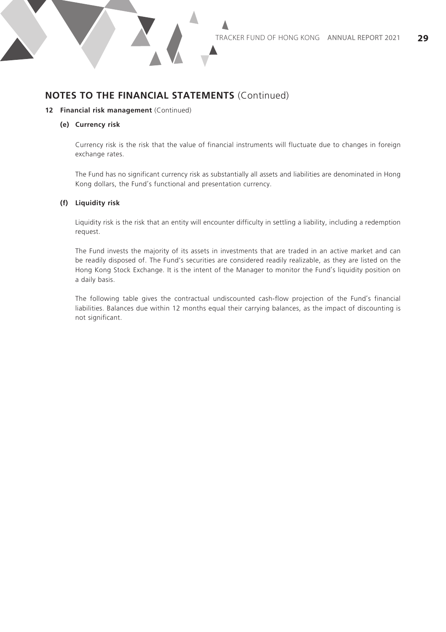

#### **12 Financial risk management** (Continued)

### **(e) Currency risk**

Currency risk is the risk that the value of financial instruments will fluctuate due to changes in foreign exchange rates.

The Fund has no significant currency risk as substantially all assets and liabilities are denominated in Hong Kong dollars, the Fund's functional and presentation currency.

### **(f) Liquidity risk**

Liquidity risk is the risk that an entity will encounter difficulty in settling a liability, including a redemption request.

The Fund invests the majority of its assets in investments that are traded in an active market and can be readily disposed of. The Fund's securities are considered readily realizable, as they are listed on the Hong Kong Stock Exchange. It is the intent of the Manager to monitor the Fund's liquidity position on a daily basis.

The following table gives the contractual undiscounted cash-flow projection of the Fund's financial liabilities. Balances due within 12 months equal their carrying balances, as the impact of discounting is not significant.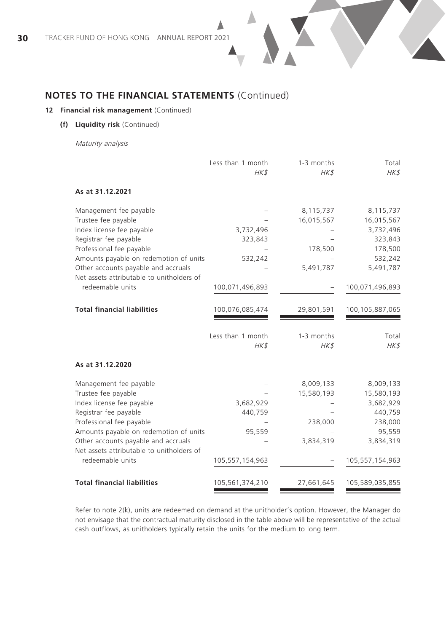

Δ

### **12 Financial risk management** (Continued)

**(f) Liquidity risk** (Continued)

Maturity analysis

|                                                                                  | Less than 1 month<br>HK\$ | 1-3 months<br>HK\$ | Total<br>HK\$      |
|----------------------------------------------------------------------------------|---------------------------|--------------------|--------------------|
| As at 31.12.2021                                                                 |                           |                    |                    |
| Management fee payable                                                           |                           | 8,115,737          | 8,115,737          |
| Trustee fee payable                                                              |                           | 16,015,567         | 16,015,567         |
| Index license fee payable                                                        | 3,732,496                 |                    | 3,732,496          |
| Registrar fee payable                                                            | 323,843                   |                    | 323,843            |
| Professional fee payable                                                         |                           | 178,500            | 178,500            |
| Amounts payable on redemption of units                                           | 532,242                   |                    | 532,242            |
| Other accounts payable and accruals<br>Net assets attributable to unitholders of |                           | 5,491,787          | 5,491,787          |
| redeemable units                                                                 | 100,071,496,893           |                    | 100,071,496,893    |
| <b>Total financial liabilities</b>                                               | 100,076,085,474           | 29,801,591         | 100, 105, 887, 065 |
|                                                                                  | Less than 1 month         | 1-3 months         | Total              |
|                                                                                  | HK\$                      | HK\$               | HK\$               |
| As at 31.12.2020                                                                 |                           |                    |                    |
| Management fee payable                                                           |                           | 8,009,133          | 8,009,133          |
| Trustee fee payable                                                              |                           | 15,580,193         | 15,580,193         |
| Index license fee payable                                                        | 3,682,929                 |                    | 3,682,929          |
| Registrar fee payable                                                            | 440,759                   |                    | 440,759            |
| Professional fee payable                                                         |                           | 238,000            | 238,000            |
| Amounts payable on redemption of units                                           | 95,559                    |                    | 95,559             |
| Other accounts payable and accruals<br>Net assets attributable to unitholders of |                           | 3,834,319          | 3,834,319          |
| redeemable units                                                                 | 105,557,154,963           |                    | 105,557,154,963    |
| <b>Total financial liabilities</b>                                               | 105,561,374,210           | 27,661,645         | 105,589,035,855    |

Refer to note 2(k), units are redeemed on demand at the unitholder's option. However, the Manager do not envisage that the contractual maturity disclosed in the table above will be representative of the actual cash outflows, as unitholders typically retain the units for the medium to long term.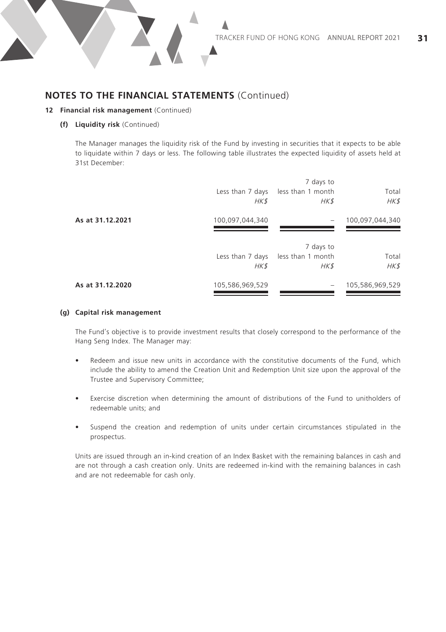

### **12 Financial risk management** (Continued)

### **(f) Liquidity risk** (Continued)

The Manager manages the liquidity risk of the Fund by investing in securities that it expects to be able to liquidate within 7 days or less. The following table illustrates the expected liquidity of assets held at 31st December:

|                  | Less than 7 days<br>HK\$ | 7 days to<br>less than 1 month<br>HK\$ | Total<br>HK\$   |
|------------------|--------------------------|----------------------------------------|-----------------|
| As at 31.12.2021 | 100,097,044,340          |                                        | 100,097,044,340 |
|                  | Less than 7 days<br>HK\$ | 7 days to<br>less than 1 month<br>HK\$ | Total<br>HK\$   |
| As at 31.12.2020 | 105,586,969,529          |                                        | 105,586,969,529 |

### **(g) Capital risk management**

The Fund's objective is to provide investment results that closely correspond to the performance of the Hang Seng Index. The Manager may:

- Redeem and issue new units in accordance with the constitutive documents of the Fund, which include the ability to amend the Creation Unit and Redemption Unit size upon the approval of the Trustee and Supervisory Committee;
- Exercise discretion when determining the amount of distributions of the Fund to unitholders of redeemable units; and
- Suspend the creation and redemption of units under certain circumstances stipulated in the prospectus.

Units are issued through an in-kind creation of an Index Basket with the remaining balances in cash and are not through a cash creation only. Units are redeemed in-kind with the remaining balances in cash and are not redeemable for cash only.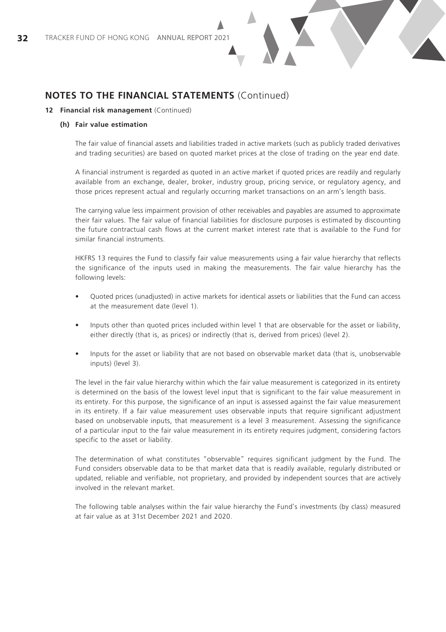#### **12 Financial risk management** (Continued)

### **(h) Fair value estimation**

The fair value of financial assets and liabilities traded in active markets (such as publicly traded derivatives and trading securities) are based on quoted market prices at the close of trading on the year end date.

A financial instrument is regarded as quoted in an active market if quoted prices are readily and regularly available from an exchange, dealer, broker, industry group, pricing service, or regulatory agency, and those prices represent actual and regularly occurring market transactions on an arm's length basis.

The carrying value less impairment provision of other receivables and payables are assumed to approximate their fair values. The fair value of financial liabilities for disclosure purposes is estimated by discounting the future contractual cash flows at the current market interest rate that is available to the Fund for similar financial instruments.

HKFRS 13 requires the Fund to classify fair value measurements using a fair value hierarchy that reflects the significance of the inputs used in making the measurements. The fair value hierarchy has the following levels:

- Quoted prices (unadjusted) in active markets for identical assets or liabilities that the Fund can access at the measurement date (level 1).
- Inputs other than quoted prices included within level 1 that are observable for the asset or liability, either directly (that is, as prices) or indirectly (that is, derived from prices) (level 2).
- Inputs for the asset or liability that are not based on observable market data (that is, unobservable inputs) (level 3).

The level in the fair value hierarchy within which the fair value measurement is categorized in its entirety is determined on the basis of the lowest level input that is significant to the fair value measurement in its entirety. For this purpose, the significance of an input is assessed against the fair value measurement in its entirety. If a fair value measurement uses observable inputs that require significant adjustment based on unobservable inputs, that measurement is a level 3 measurement. Assessing the significance of a particular input to the fair value measurement in its entirety requires judgment, considering factors specific to the asset or liability.

The determination of what constitutes "observable" requires significant judgment by the Fund. The Fund considers observable data to be that market data that is readily available, regularly distributed or updated, reliable and verifiable, not proprietary, and provided by independent sources that are actively involved in the relevant market.

The following table analyses within the fair value hierarchy the Fund's investments (by class) measured at fair value as at 31st December 2021 and 2020.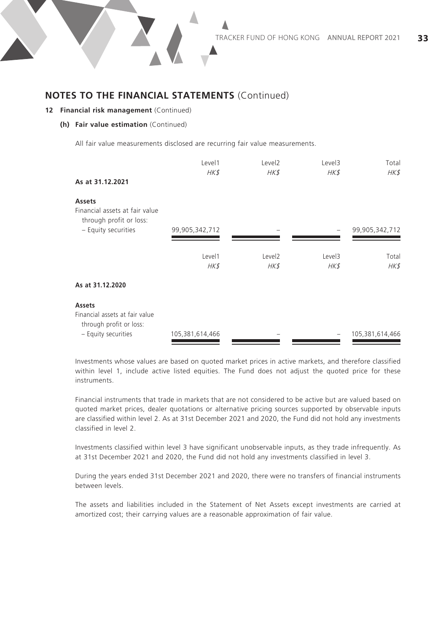

### **12 Financial risk management** (Continued)

### **(h) Fair value estimation** (Continued)

All fair value measurements disclosed are recurring fair value measurements.

|                                                           | Level1          | Level <sub>2</sub> | Level3 | Total           |
|-----------------------------------------------------------|-----------------|--------------------|--------|-----------------|
|                                                           | $H K$ \$        | HK\$               | HK\$   | HK\$            |
| As at 31.12.2021                                          |                 |                    |        |                 |
| <b>Assets</b>                                             |                 |                    |        |                 |
| Financial assets at fair value<br>through profit or loss: |                 |                    |        |                 |
| - Equity securities                                       | 99,905,342,712  |                    |        | 99,905,342,712  |
|                                                           | Level1          | Level <sub>2</sub> | Level3 | Total           |
|                                                           | HK\$            | HK\$               | HK\$   | HK\$            |
| As at 31.12.2020                                          |                 |                    |        |                 |
| <b>Assets</b>                                             |                 |                    |        |                 |
| Financial assets at fair value<br>through profit or loss: |                 |                    |        |                 |
| - Equity securities                                       | 105,381,614,466 |                    |        | 105,381,614,466 |

Investments whose values are based on quoted market prices in active markets, and therefore classified within level 1, include active listed equities. The Fund does not adjust the quoted price for these instruments.

Financial instruments that trade in markets that are not considered to be active but are valued based on quoted market prices, dealer quotations or alternative pricing sources supported by observable inputs are classified within level 2. As at 31st December 2021 and 2020, the Fund did not hold any investments classified in level 2.

Investments classified within level 3 have significant unobservable inputs, as they trade infrequently. As at 31st December 2021 and 2020, the Fund did not hold any investments classified in level 3.

During the years ended 31st December 2021 and 2020, there were no transfers of financial instruments between levels.

The assets and liabilities included in the Statement of Net Assets except investments are carried at amortized cost; their carrying values are a reasonable approximation of fair value.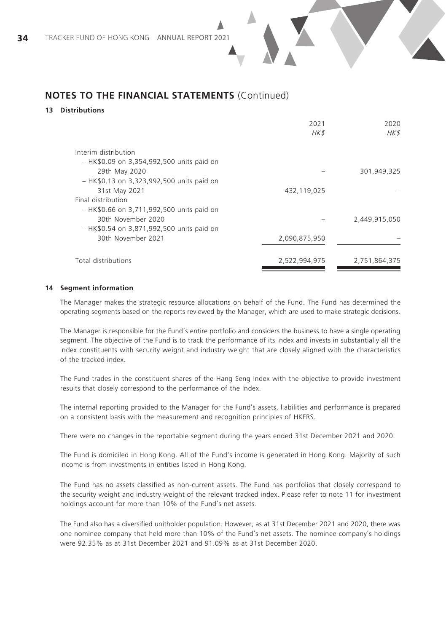### **13 Distributions**

|                                           | 2021          | 2020          |
|-------------------------------------------|---------------|---------------|
|                                           | HK\$          | HK\$          |
|                                           |               |               |
| Interim distribution                      |               |               |
| - HK\$0.09 on 3,354,992,500 units paid on |               |               |
| 29th May 2020                             |               | 301,949,325   |
| - HK\$0.13 on 3,323,992,500 units paid on |               |               |
| 31st May 2021                             | 432,119,025   |               |
| Final distribution                        |               |               |
| - HK\$0.66 on 3,711,992,500 units paid on |               |               |
| 30th November 2020                        |               | 2.449.915.050 |
| - HK\$0.54 on 3,871,992,500 units paid on |               |               |
| 30th November 2021                        | 2,090,875,950 |               |
|                                           |               |               |
| Total distributions                       | 2,522,994,975 | 2,751,864,375 |
|                                           |               |               |

### **14 Segment information**

The Manager makes the strategic resource allocations on behalf of the Fund. The Fund has determined the operating segments based on the reports reviewed by the Manager, which are used to make strategic decisions.

The Manager is responsible for the Fund's entire portfolio and considers the business to have a single operating segment. The objective of the Fund is to track the performance of its index and invests in substantially all the index constituents with security weight and industry weight that are closely aligned with the characteristics of the tracked index.

The Fund trades in the constituent shares of the Hang Seng Index with the objective to provide investment results that closely correspond to the performance of the Index.

The internal reporting provided to the Manager for the Fund's assets, liabilities and performance is prepared on a consistent basis with the measurement and recognition principles of HKFRS.

There were no changes in the reportable segment during the years ended 31st December 2021 and 2020.

The Fund is domiciled in Hong Kong. All of the Fund's income is generated in Hong Kong. Majority of such income is from investments in entities listed in Hong Kong.

The Fund has no assets classified as non-current assets. The Fund has portfolios that closely correspond to the security weight and industry weight of the relevant tracked index. Please refer to note 11 for investment holdings account for more than 10% of the Fund's net assets.

The Fund also has a diversified unitholder population. However, as at 31st December 2021 and 2020, there was one nominee company that held more than 10% of the Fund's net assets. The nominee company's holdings were 92.35% as at 31st December 2021 and 91.09% as at 31st December 2020.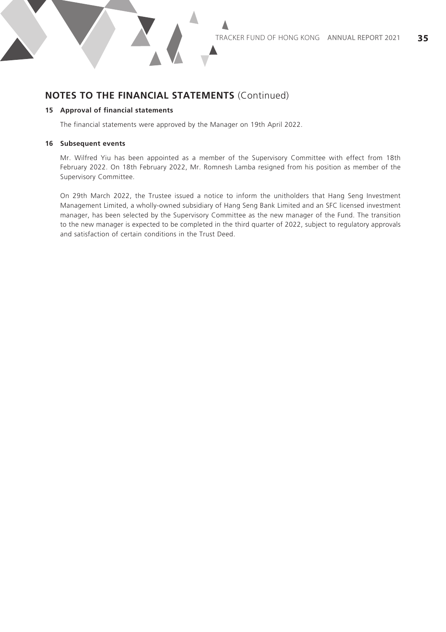

### **15 Approval of financial statements**

The financial statements were approved by the Manager on 19th April 2022.

#### **16 Subsequent events**

Mr. Wilfred Yiu has been appointed as a member of the Supervisory Committee with effect from 18th February 2022. On 18th February 2022, Mr. Romnesh Lamba resigned from his position as member of the Supervisory Committee.

On 29th March 2022, the Trustee issued a notice to inform the unitholders that Hang Seng Investment Management Limited, a wholly-owned subsidiary of Hang Seng Bank Limited and an SFC licensed investment manager, has been selected by the Supervisory Committee as the new manager of the Fund. The transition to the new manager is expected to be completed in the third quarter of 2022, subject to regulatory approvals and satisfaction of certain conditions in the Trust Deed.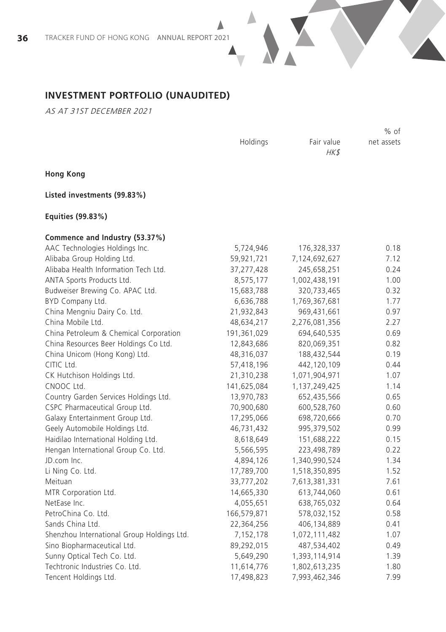

% of

# **INVESTMENT PORTFOLIO (UNAUDITED)**

AS AT 31ST DECEMBER 2021

|                                            | Holdings    | Fair value<br>$H K$ \$ | net assets |
|--------------------------------------------|-------------|------------------------|------------|
|                                            |             |                        |            |
| <b>Hong Kong</b>                           |             |                        |            |
| Listed investments (99.83%)                |             |                        |            |
| Equities (99.83%)                          |             |                        |            |
| Commence and Industry (53.37%)             |             |                        |            |
| AAC Technologies Holdings Inc.             | 5,724,946   | 176,328,337            | 0.18       |
| Alibaba Group Holding Ltd.                 | 59,921,721  | 7,124,692,627          | 7.12       |
| Alibaba Health Information Tech Ltd.       | 37,277,428  | 245,658,251            | 0.24       |
| ANTA Sports Products Ltd.                  | 8,575,177   | 1,002,438,191          | 1.00       |
| Budweiser Brewing Co. APAC Ltd.            | 15,683,788  | 320,733,465            | 0.32       |
| BYD Company Ltd.                           | 6,636,788   | 1,769,367,681          | 1.77       |
| China Mengniu Dairy Co. Ltd.               | 21,932,843  | 969,431,661            | 0.97       |
| China Mobile Ltd.                          | 48,634,217  | 2,276,081,356          | 2.27       |
| China Petroleum & Chemical Corporation     | 191,361,029 | 694,640,535            | 0.69       |
| China Resources Beer Holdings Co Ltd.      | 12,843,686  | 820,069,351            | 0.82       |
| China Unicom (Hong Kong) Ltd.              | 48,316,037  | 188,432,544            | 0.19       |
| CITIC Ltd.                                 | 57,418,196  | 442,120,109            | 0.44       |
| CK Hutchison Holdings Ltd.                 | 21,310,238  | 1,071,904,971          | 1.07       |
| CNOOC Ltd.                                 | 141,625,084 | 1,137,249,425          | 1.14       |
| Country Garden Services Holdings Ltd.      | 13,970,783  | 652,435,566            | 0.65       |
| CSPC Pharmaceutical Group Ltd.             | 70,900,680  | 600,528,760            | 0.60       |
| Galaxy Entertainment Group Ltd.            | 17,295,066  | 698,720,666            | 0.70       |
| Geely Automobile Holdings Ltd.             | 46,731,432  | 995,379,502            | 0.99       |
| Haidilao International Holding Ltd.        | 8,618,649   | 151,688,222            | 0.15       |
| Hengan International Group Co. Ltd.        | 5,566,595   | 223,498,789            | 0.22       |
| JD.com Inc.                                | 4,894,126   | 1,340,990,524          | 1.34       |
| Li Ning Co. Ltd.                           | 17,789,700  | 1,518,350,895          | 1.52       |
| Meituan                                    | 33,777,202  | 7,613,381,331          | 7.61       |
| MTR Corporation Ltd.                       | 14,665,330  | 613,744,060            | 0.61       |
| NetEase Inc.                               | 4,055,651   | 638,765,032            | 0.64       |
| PetroChina Co. Ltd.                        | 166,579,871 | 578,032,152            | 0.58       |
| Sands China Ltd.                           | 22,364,256  | 406,134,889            | 0.41       |
| Shenzhou International Group Holdings Ltd. | 7,152,178   | 1,072,111,482          | 1.07       |
| Sino Biopharmaceutical Ltd.                | 89,292,015  | 487,534,402            | 0.49       |
| Sunny Optical Tech Co. Ltd.                | 5,649,290   | 1,393,114,914          | 1.39       |
| Techtronic Industries Co. Ltd.             | 11,614,776  | 1,802,613,235          | 1.80       |
| Tencent Holdings Ltd.                      | 17,498,823  | 7,993,462,346          | 7.99       |
|                                            |             |                        |            |

Δ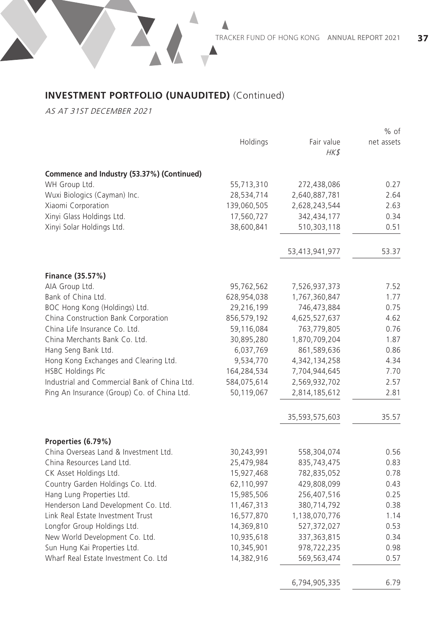# **INVESTMENT PORTFOLIO (UNAUDITED)** (Continued)

AS AT 31ST DECEMBER 2021

|                                              |             |                    | % of       |
|----------------------------------------------|-------------|--------------------|------------|
|                                              | Holdings    | Fair value<br>HK\$ | net assets |
| Commence and Industry (53.37%) (Continued)   |             |                    |            |
| WH Group Ltd.                                | 55,713,310  | 272,438,086        | 0.27       |
| Wuxi Biologics (Cayman) Inc.                 | 28,534,714  | 2,640,887,781      | 2.64       |
| Xiaomi Corporation                           | 139,060,505 | 2,628,243,544      | 2.63       |
| Xinyi Glass Holdings Ltd.                    | 17,560,727  | 342,434,177        | 0.34       |
| Xinyi Solar Holdings Ltd.                    | 38,600,841  | 510,303,118        | 0.51       |
|                                              |             | 53,413,941,977     | 53.37      |
| Finance (35.57%)                             |             |                    |            |
| AIA Group Ltd.                               | 95,762,562  | 7,526,937,373      | 7.52       |
| Bank of China Ltd.                           | 628,954,038 | 1,767,360,847      | 1.77       |
| BOC Hong Kong (Holdings) Ltd.                | 29,216,199  | 746,473,884        | 0.75       |
| China Construction Bank Corporation          | 856,579,192 | 4,625,527,637      | 4.62       |
| China Life Insurance Co. Ltd.                | 59,116,084  | 763,779,805        | 0.76       |
| China Merchants Bank Co. Ltd.                | 30,895,280  | 1,870,709,204      | 1.87       |
| Hang Seng Bank Ltd.                          | 6,037,769   | 861,589,636        | 0.86       |
| Hong Kong Exchanges and Clearing Ltd.        | 9,534,770   | 4,342,134,258      | 4.34       |
| <b>HSBC Holdings Plc</b>                     | 164,284,534 | 7,704,944,645      | 7.70       |
| Industrial and Commercial Bank of China Ltd. | 584,075,614 | 2,569,932,702      | 2.57       |
| Ping An Insurance (Group) Co. of China Ltd.  | 50,119,067  | 2,814,185,612      | 2.81       |
|                                              |             | 35,593,575,603     | 35.57      |
| Properties (6.79%)                           |             |                    |            |
| China Overseas Land & Investment Ltd.        | 30,243,991  | 558,304,074        | 0.56       |
| China Resources Land Ltd.                    | 25,479,984  | 835,743,475        | 0.83       |
| CK Asset Holdings Ltd.                       | 15,927,468  | 782,835,052        | 0.78       |
| Country Garden Holdings Co. Ltd.             | 62,110,997  | 429,808,099        | 0.43       |
| Hang Lung Properties Ltd.                    | 15,985,506  | 256,407,516        | 0.25       |
| Henderson Land Development Co. Ltd.          | 11,467,313  | 380,714,792        | 0.38       |
| Link Real Estate Investment Trust            | 16,577,870  | 1,138,070,776      | 1.14       |
| Longfor Group Holdings Ltd.                  | 14,369,810  | 527,372,027        | 0.53       |
| New World Development Co. Ltd.               | 10,935,618  | 337, 363, 815      | 0.34       |
| Sun Hung Kai Properties Ltd.                 | 10,345,901  | 978,722,235        | 0.98       |
| Wharf Real Estate Investment Co. Ltd         | 14,382,916  | 569,563,474        | 0.57       |
|                                              |             | 6,794,905,335      | 6.79       |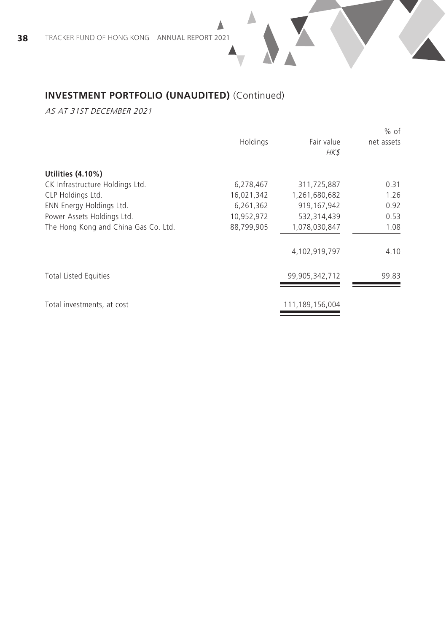

AS AT 31ST DECEMBER 2021

|                                      |            |                    | % of       |
|--------------------------------------|------------|--------------------|------------|
|                                      | Holdings   | Fair value<br>HK\$ | net assets |
| <b>Utilities (4.10%)</b>             |            |                    |            |
| CK Infrastructure Holdings Ltd.      | 6,278,467  | 311,725,887        | 0.31       |
| CLP Holdings Ltd.                    | 16,021,342 | 1,261,680,682      | 1.26       |
| ENN Energy Holdings Ltd.             | 6,261,362  | 919,167,942        | 0.92       |
| Power Assets Holdings Ltd.           | 10,952,972 | 532,314,439        | 0.53       |
| The Hong Kong and China Gas Co. Ltd. | 88,799,905 | 1,078,030,847      | 1.08       |
|                                      |            | 4,102,919,797      | 4.10       |
| <b>Total Listed Equities</b>         |            | 99,905,342,712     | 99.83      |
| Total investments, at cost           |            | 111,189,156,004    |            |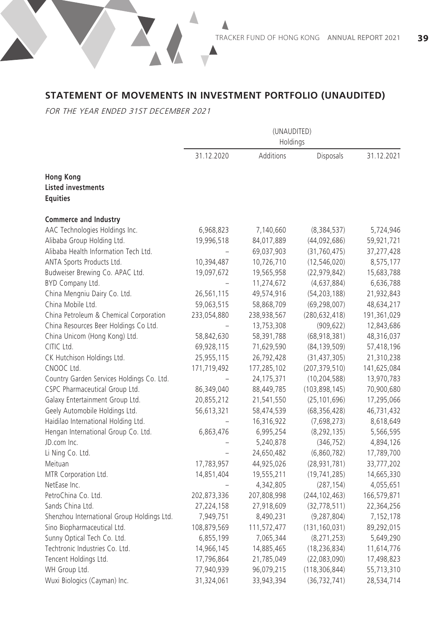# **STATEMENT OF MOVEMENTS IN INVESTMENT PORTFOLIO (UNAUDITED)**

FOR THE YEAR ENDED 31ST DECEMBER 2021

|                                                                  |             | (UNAUDITED) |                 |             |
|------------------------------------------------------------------|-------------|-------------|-----------------|-------------|
|                                                                  | Holdings    |             |                 |             |
|                                                                  | 31.12.2020  | Additions   | Disposals       | 31.12.2021  |
| <b>Hong Kong</b><br><b>Listed investments</b><br><b>Equities</b> |             |             |                 |             |
| <b>Commerce and Industry</b>                                     |             |             |                 |             |
| AAC Technologies Holdings Inc.                                   | 6,968,823   | 7,140,660   | (8, 384, 537)   | 5,724,946   |
| Alibaba Group Holding Ltd.                                       | 19,996,518  | 84,017,889  | (44,092,686)    | 59,921,721  |
| Alibaba Health Information Tech Ltd.                             |             | 69,037,903  | (31, 760, 475)  | 37,277,428  |
| ANTA Sports Products Ltd.                                        | 10,394,487  | 10,726,710  | (12, 546, 020)  | 8,575,177   |
| Budweiser Brewing Co. APAC Ltd.                                  | 19,097,672  | 19,565,958  | (22, 979, 842)  | 15,683,788  |
| BYD Company Ltd.                                                 |             | 11,274,672  | (4,637,884)     | 6,636,788   |
| China Mengniu Dairy Co. Ltd.                                     | 26,561,115  | 49,574,916  | (54, 203, 188)  | 21,932,843  |
| China Mobile Ltd.                                                | 59,063,515  | 58,868,709  | (69, 298, 007)  | 48,634,217  |
| China Petroleum & Chemical Corporation                           | 233,054,880 | 238,938,567 | (280, 632, 418) | 191,361,029 |
| China Resources Beer Holdings Co Ltd.                            |             | 13,753,308  | (909, 622)      | 12,843,686  |
| China Unicom (Hong Kong) Ltd.                                    | 58,842,630  | 58,391,788  | (68,918,381)    | 48,316,037  |
| CITIC Ltd.                                                       | 69,928,115  | 71,629,590  | (84, 139, 509)  | 57,418,196  |
| CK Hutchison Holdings Ltd.                                       | 25,955,115  | 26,792,428  | (31, 437, 305)  | 21,310,238  |
| CNOOC Ltd.                                                       | 171,719,492 | 177,285,102 | (207, 379, 510) | 141,625,084 |
| Country Garden Services Holdings Co. Ltd.                        |             | 24,175,371  | (10, 204, 588)  | 13,970,783  |
| CSPC Pharmaceutical Group Ltd.                                   | 86,349,040  | 88,449,785  | (103,898,145)   | 70,900,680  |
| Galaxy Entertainment Group Ltd.                                  | 20,855,212  | 21,541,550  | (25, 101, 696)  | 17,295,066  |
| Geely Automobile Holdings Ltd.                                   | 56,613,321  | 58,474,539  | (68, 356, 428)  | 46,731,432  |
| Haidilao International Holding Ltd.                              |             | 16,316,922  | (7,698,273)     | 8,618,649   |
| Hengan International Group Co. Ltd.                              | 6,863,476   | 6,995,254   | (8, 292, 135)   | 5,566,595   |
| JD.com Inc.                                                      |             | 5,240,878   | (346, 752)      | 4,894,126   |
| Li Ning Co. Ltd.                                                 |             | 24,650,482  | (6,860,782)     | 17,789,700  |
| Meituan                                                          | 17,783,957  | 44,925,026  | (28, 931, 781)  | 33,777,202  |
| MTR Corporation Ltd.                                             | 14,851,404  | 19,555,211  | (19, 741, 285)  | 14,665,330  |
| NetEase Inc.                                                     |             | 4,342,805   | (287, 154)      | 4,055,651   |
| PetroChina Co. Ltd.                                              | 202,873,336 | 207,808,998 | (244, 102, 463) | 166,579,871 |
| Sands China Ltd.                                                 | 27,224,158  | 27,918,609  | (32, 778, 511)  | 22,364,256  |
| Shenzhou International Group Holdings Ltd.                       | 7,949,751   | 8,490,231   | (9, 287, 804)   | 7,152,178   |
| Sino Biopharmaceutical Ltd.                                      | 108,879,569 | 111,572,477 | (131, 160, 031) | 89,292,015  |
| Sunny Optical Tech Co. Ltd.                                      | 6,855,199   | 7,065,344   | (8, 271, 253)   | 5,649,290   |
| Techtronic Industries Co. Ltd.                                   | 14,966,145  | 14,885,465  | (18, 236, 834)  | 11,614,776  |
| Tencent Holdings Ltd.                                            | 17,796,864  | 21,785,049  | (22,083,090)    | 17,498,823  |
| WH Group Ltd.                                                    | 77,940,939  | 96,079,215  | (118, 306, 844) | 55,713,310  |
| Wuxi Biologics (Cayman) Inc.                                     | 31,324,061  | 33,943,394  | (36, 732, 741)  | 28,534,714  |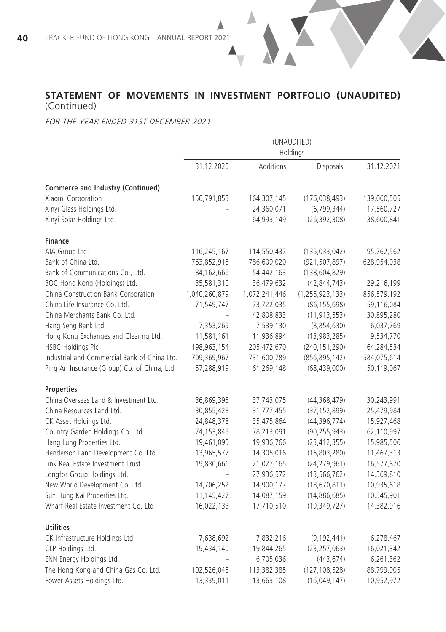# **STATEMENT OF MOVEMENTS IN INVESTMENT PORTFOLIO (UNAUDITED)**  (Continued)

FOR THE YEAR ENDED 31ST DECEMBER 2021

|                                              | (UNAUDITED)<br>Holdings |               |                    |             |
|----------------------------------------------|-------------------------|---------------|--------------------|-------------|
|                                              | 31.12.2020              | Additions     | Disposals          | 31.12.2021  |
| Commerce and Industry (Continued)            |                         |               |                    |             |
| Xiaomi Corporation                           | 150,791,853             | 164,307,145   | (176, 038, 493)    | 139,060,505 |
| Xinyi Glass Holdings Ltd.                    |                         | 24,360,071    | (6,799,344)        | 17,560,727  |
| Xinyi Solar Holdings Ltd.                    |                         | 64,993,149    | (26, 392, 308)     | 38,600,841  |
| <b>Finance</b>                               |                         |               |                    |             |
| AIA Group Ltd.                               | 116,245,167             | 114,550,437   | (135, 033, 042)    | 95,762,562  |
| Bank of China Ltd.                           | 763,852,915             | 786,609,020   | (921, 507, 897)    | 628,954,038 |
| Bank of Communications Co., Ltd.             | 84,162,666              | 54,442,163    | (138, 604, 829)    |             |
| BOC Hong Kong (Holdings) Ltd.                | 35,581,310              | 36,479,632    | (42, 844, 743)     | 29,216,199  |
| China Construction Bank Corporation          | 1,040,260,879           | 1,072,241,446 | (1, 255, 923, 133) | 856,579,192 |
| China Life Insurance Co. Ltd.                | 71,549,747              | 73,722,035    | (86, 155, 698)     | 59,116,084  |
| China Merchants Bank Co. Ltd.                |                         | 42,808,833    | (11, 913, 553)     | 30,895,280  |
| Hang Seng Bank Ltd.                          | 7,353,269               | 7,539,130     | (8,854,630)        | 6,037,769   |
| Hong Kong Exchanges and Clearing Ltd.        | 11,581,161              | 11,936,894    | (13,983,285)       | 9,534,770   |
| HSBC Holdings Plc                            | 198,963,154             | 205,472,670   | (240, 151, 290)    | 164,284,534 |
| Industrial and Commercial Bank of China Ltd. | 709,369,967             | 731,600,789   | (856, 895, 142)    | 584,075,614 |
| Ping An Insurance (Group) Co. of China, Ltd. | 57,288,919              | 61,269,148    | (68, 439, 000)     | 50,119,067  |
| <b>Properties</b>                            |                         |               |                    |             |
| China Overseas Land & Investment Ltd.        | 36,869,395              | 37,743,075    | (44, 368, 479)     | 30,243,991  |
| China Resources Land Ltd.                    | 30,855,428              | 31,777,455    | (37, 152, 899)     | 25,479,984  |
| CK Asset Holdings Ltd.                       | 24,848,378              | 35,475,864    | (44, 396, 774)     | 15,927,468  |
| Country Garden Holdings Co. Ltd.             | 74,153,849              | 78,213,091    | (90, 255, 943)     | 62,110,997  |
| Hang Lung Properties Ltd.                    | 19,461,095              | 19,936,766    | (23, 412, 355)     | 15,985,506  |
| Henderson Land Development Co. Ltd.          | 13,965,577              | 14,305,016    | (16,803,280)       | 11,467,313  |
| Link Real Estate Investment Trust            | 19,830,666              | 21,027,165    | (24, 279, 961)     | 16,577,870  |
| Longfor Group Holdings Ltd.                  |                         | 27,936,572    | (13, 566, 762)     | 14,369,810  |
| New World Development Co. Ltd.               | 14,706,252              | 14,900,177    | (18,670,811)       | 10,935,618  |
| Sun Hung Kai Properties Ltd.                 | 11,145,427              | 14,087,159    | (14,886,685)       | 10,345,901  |
| Wharf Real Estate Investment Co. Ltd         | 16,022,133              | 17,710,510    | (19, 349, 727)     | 14,382,916  |
| <b>Utilities</b>                             |                         |               |                    |             |
| CK Infrastructure Holdings Ltd.              | 7,638,692               | 7,832,216     | (9, 192, 441)      | 6,278,467   |
| CLP Holdings Ltd.                            | 19,434,140              | 19,844,265    | (23, 257, 063)     | 16,021,342  |
| ENN Energy Holdings Ltd.                     |                         | 6,705,036     | (443, 674)         | 6,261,362   |
| The Hong Kong and China Gas Co. Ltd.         | 102,526,048             | 113,382,385   | (127, 108, 528)    | 88,799,905  |
| Power Assets Holdings Ltd.                   | 13,339,011              | 13,663,108    | (16,049,147)       | 10,952,972  |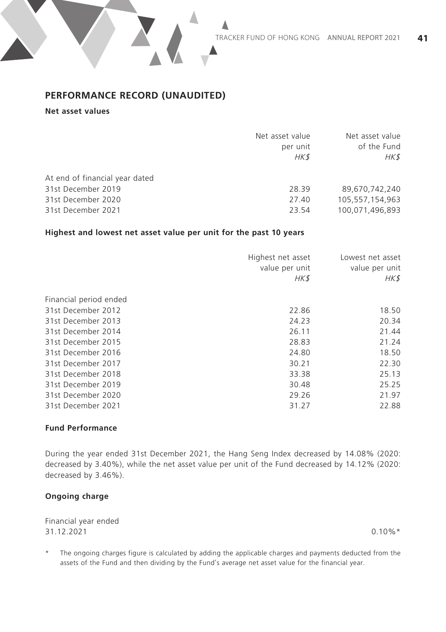

# **PERFORMANCE RECORD (UNAUDITED)**

### **Net asset values**

|                                | Net asset value<br>per unit<br>HK\$ | Net asset value<br>of the Fund<br>HK\$ |
|--------------------------------|-------------------------------------|----------------------------------------|
| At end of financial year dated |                                     |                                        |
| 31st December 2019             | 28.39                               | 89,670,742,240                         |
| 31st December 2020             | 27.40                               | 105.557.154.963                        |
| 31st December 2021             | 23.54                               | 100,071,496,893                        |

## **Highest and lowest net asset value per unit for the past 10 years**

|                        | Highest net asset<br>value per unit<br>HK\$ | Lowest net asset<br>value per unit<br>HK\$ |
|------------------------|---------------------------------------------|--------------------------------------------|
| Financial period ended |                                             |                                            |
| 31st December 2012     | 22.86                                       | 18.50                                      |
| 31st December 2013     | 24.23                                       | 20.34                                      |
| 31st December 2014     | 26.11                                       | 21.44                                      |
| 31st December 2015     | 28.83                                       | 21.24                                      |
| 31st December 2016     | 24.80                                       | 18.50                                      |
| 31st December 2017     | 30.21                                       | 22.30                                      |
| 31st December 2018     | 33.38                                       | 25.13                                      |
| 31st December 2019     | 30.48                                       | 25.25                                      |
| 31st December 2020     | 29.26                                       | 21.97                                      |
| 31st December 2021     | 31.27                                       | 22.88                                      |

### **Fund Performance**

During the year ended 31st December 2021, the Hang Seng Index decreased by 14.08% (2020: decreased by 3.40%), while the net asset value per unit of the Fund decreased by 14.12% (2020: decreased by 3.46%).

### **Ongoing charge**

Financial year ended  $31.12.2021$  0.10%  $*$ 

The ongoing charges figure is calculated by adding the applicable charges and payments deducted from the assets of the Fund and then dividing by the Fund's average net asset value for the financial year.